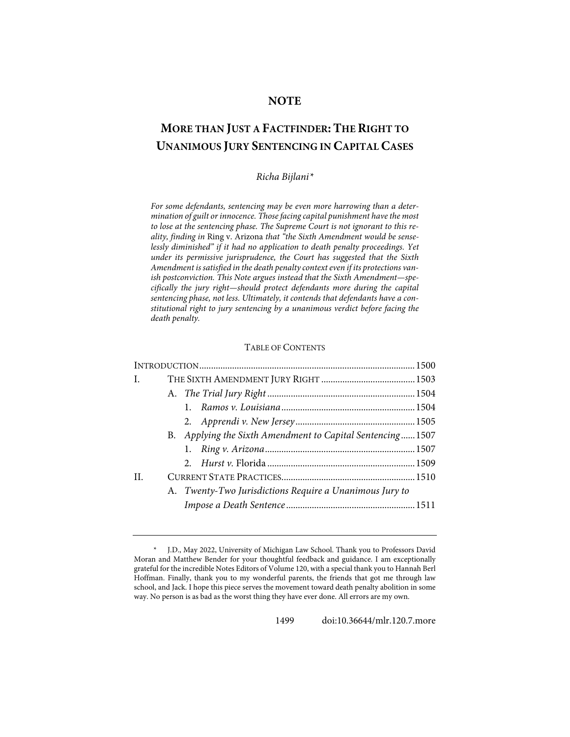# **NOTE**

# **MORE THAN JUST A FACTFINDER: THE RIGHT TO UNANIMOUS JURY SENTENCING IN CAPITAL CASES**

# *Richa Bijlani[\\*](#page-0-0)*

*For some defendants, sentencing may be even more harrowing than a determination of guilt or innocence. Those facing capital punishment have the most to lose at the sentencing phase. The Supreme Court is not ignorant to this reality, finding in* Ring v. Arizona *that "the Sixth Amendment would be senselessly diminished" if it had no application to death penalty proceedings. Yet under its permissive jurisprudence, the Court has suggested that the Sixth Amendment is satisfied in the death penalty context even if its protections vanish postconviction. This Note argues instead that the Sixth Amendment—specifically the jury right—should protect defendants more during the capital sentencing phase, not less. Ultimately, it contends that defendants have a constitutional right to jury sentencing by a unanimous verdict before facing the death penalty.*

# TABLE OF CONTENTS

| $\mathbf{I}$ . |  |                                                           |  |  |
|----------------|--|-----------------------------------------------------------|--|--|
|                |  |                                                           |  |  |
|                |  |                                                           |  |  |
|                |  |                                                           |  |  |
|                |  | B. Applying the Sixth Amendment to Capital Sentencing1507 |  |  |
|                |  |                                                           |  |  |
|                |  |                                                           |  |  |
| $\mathbf{H}$   |  |                                                           |  |  |
|                |  | A. Twenty-Two Jurisdictions Require a Unanimous Jury to   |  |  |
|                |  |                                                           |  |  |
|                |  |                                                           |  |  |

<span id="page-0-0"></span>*<sup>\*</sup>* J.D., May 2022, University of Michigan Law School. Thank you to Professors David Moran and Matthew Bender for your thoughtful feedback and guidance. I am exceptionally grateful for the incredible Notes Editors of Volume 120, with a special thank you to Hannah Berl Hoffman. Finally, thank you to my wonderful parents, the friends that got me through law school, and Jack. I hope this piece serves the movement toward death penalty abolition in some way. No person is as bad as the worst thing they have ever done. All errors are my own.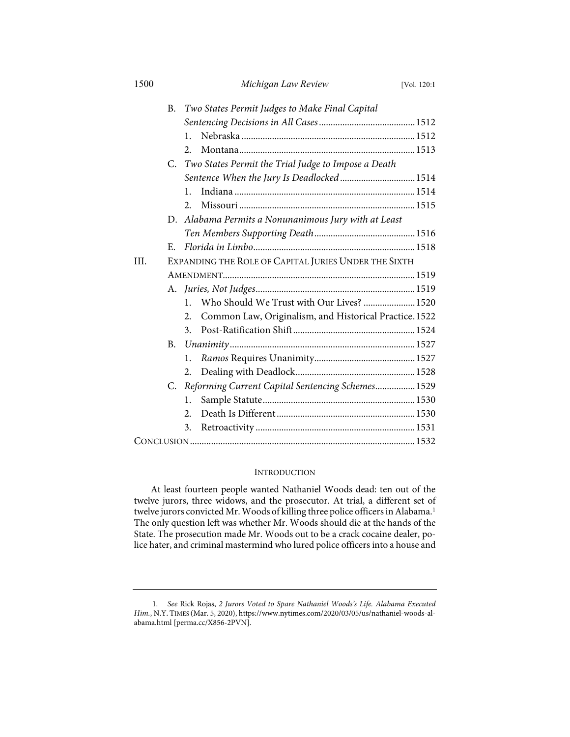| 1500 |           | Michigan Law Review                                         | [Vol. 120:1 |  |  |
|------|-----------|-------------------------------------------------------------|-------------|--|--|
|      | B.        | Two States Permit Judges to Make Final Capital              |             |  |  |
|      |           |                                                             |             |  |  |
|      |           | 1.                                                          |             |  |  |
|      |           | 2.                                                          |             |  |  |
|      |           | C. Two States Permit the Trial Judge to Impose a Death      |             |  |  |
|      |           | Sentence When the Jury Is Deadlocked 1514                   |             |  |  |
|      |           | $\mathbf{1}$ .                                              |             |  |  |
|      |           | 2.                                                          |             |  |  |
|      |           | D. Alabama Permits a Nonunanimous Jury with at Least        |             |  |  |
|      |           |                                                             |             |  |  |
|      | E.        |                                                             |             |  |  |
| III. |           | EXPANDING THE ROLE OF CAPITAL JURIES UNDER THE SIXTH        |             |  |  |
|      |           |                                                             |             |  |  |
|      |           |                                                             |             |  |  |
|      |           | Who Should We Trust with Our Lives?  1520<br>$\mathbf{1}$   |             |  |  |
|      |           | Common Law, Originalism, and Historical Practice.1522<br>2. |             |  |  |
|      |           | 3.                                                          |             |  |  |
|      | <b>B.</b> |                                                             |             |  |  |
|      |           | 1.                                                          |             |  |  |
|      |           | 2.                                                          |             |  |  |
|      | C.        | Reforming Current Capital Sentencing Schemes 1529           |             |  |  |
|      |           | 1.                                                          |             |  |  |
|      |           | $\overline{2}$ .                                            |             |  |  |
|      |           | 3.                                                          |             |  |  |
|      |           |                                                             |             |  |  |

# <span id="page-1-1"></span>**INTRODUCTION**

At least fourteen people wanted Nathaniel Woods dead: ten out of the twelve jurors, three widows, and the prosecutor. At trial, a different set of twelve jurors convicted Mr. Woods of killing three police officers in Alabama.<sup>[1](#page-1-0)</sup> The only question left was whether Mr. Woods should die at the hands of the State. The prosecution made Mr. Woods out to be a crack cocaine dealer, police hater, and criminal mastermind who lured police officers into a house and

<span id="page-1-0"></span> <sup>1.</sup> *See* Rick Rojas, *2 Jurors Voted to Spare Nathaniel Woods's Life. Alabama Executed Him.*, N.Y. TIMES (Mar. 5, 2020)[, https://www.nytimes.com/2020/03/05/us/nathaniel-woods-al](https://www.nytimes.com/2020/03/05/us/nathaniel-woods-alabama.html)[abama.html](https://www.nytimes.com/2020/03/05/us/nathaniel-woods-alabama.html) [\[perma.cc/X856-2PVN\]](https://perma.cc/X856-2PVN).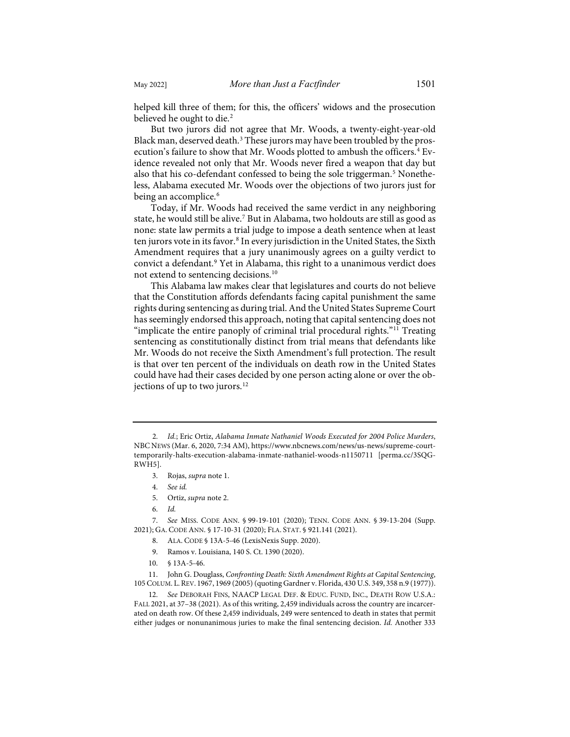<span id="page-2-0"></span>helped kill three of them; for this, the officers' widows and the prosecution believed he ought to die.<sup>[2](#page-2-1)</sup>

But two jurors did not agree that Mr. Woods, a twenty-eight-year-old Black man, deserved death.<sup>[3](#page-2-2)</sup> These jurors may have been troubled by the pros-ecution's failure to show that Mr. Woods plotted to ambush the officers.<sup>[4](#page-2-3)</sup> Evidence revealed not only that Mr. Woods never fired a weapon that day but also that his co-defendant confessed to being the sole triggerman.<sup>[5](#page-2-4)</sup> Nonetheless, Alabama executed Mr. Woods over the objections of two jurors just for being an accomplice.<sup>[6](#page-2-5)</sup>

Today, if Mr. Woods had received the same verdict in any neighboring state, he would still be alive.[7](#page-2-6) But in Alabama, two holdouts are still as good as none: state law permits a trial judge to impose a death sentence when at least ten jurors vote in its favor.<sup>[8](#page-2-7)</sup> In every jurisdiction in the United States, the Sixth Amendment requires that a jury unanimously agrees on a guilty verdict to convict a defendant.[9](#page-2-8) Yet in Alabama, this right to a unanimous verdict does not extend to sentencing decisions.[10](#page-2-9)

<span id="page-2-12"></span>This Alabama law makes clear that legislatures and courts do not believe that the Constitution affords defendants facing capital punishment the same rights during sentencing as during trial. And the United States Supreme Court has seemingly endorsed this approach, noting that capital sentencing does not "implicate the entire panoply of criminal trial procedural rights."<sup>[11](#page-2-10)</sup> Treating sentencing as constitutionally distinct from trial means that defendants like Mr. Woods do not receive the Sixth Amendment's full protection. The result is that over ten percent of the individuals on death row in the United States could have had their cases decided by one person acting alone or over the ob-jections of up to two jurors.<sup>[12](#page-2-11)</sup>

- 3. Rojas, *supra* not[e 1.](#page-1-1)
- 4. *See id.*
- 5. Ortiz, *supra* not[e 2.](#page-2-0)
- 6. *Id.*

<span id="page-2-7"></span><span id="page-2-6"></span><span id="page-2-5"></span><span id="page-2-4"></span><span id="page-2-3"></span> 7. *See* MISS. CODE ANN. § 99-19-101 (2020); TENN. CODE ANN. § 39-13-204 (Supp. 2021); GA. CODE ANN. § 17-10-31 (2020); FLA. STAT. § 921.141 (2021).

- 8. ALA. CODE § 13A-5-46 (LexisNexis Supp. 2020).
- 9. Ramos v. Louisiana, 140 S. Ct. 1390 (2020).
- 10. § 13A-5-46.

<span id="page-2-10"></span><span id="page-2-9"></span><span id="page-2-8"></span>11. John G. Douglass, *Confronting Death: Sixth Amendment Rights at Capital Sentencing*, 105 COLUM. L.REV. 1967, 1969 (2005) (quoting Gardner v. Florida, 430 U.S. 349, 358 n.9 (1977)).

<span id="page-2-11"></span>12. *See* DEBORAH FINS, NAACP LEGAL DEF. & EDUC. FUND, INC., DEATH ROW U.S.A.: FALL 2021, at 37–38 (2021). As of this writing, 2,459 individuals across the country are incarcerated on death row. Of these 2,459 individuals, 249 were sentenced to death in states that permit either judges or nonunanimous juries to make the final sentencing decision. *Id.* Another 333

<span id="page-2-13"></span><span id="page-2-2"></span><span id="page-2-1"></span> <sup>2.</sup> *Id.*; Eric Ortiz, *Alabama Inmate Nathaniel Woods Executed for 2004 Police Murders*, NBC NEWS (Mar. 6, 2020, 7:34 AM)[, https://www.nbcnews.com/news/us-news/supreme-court](https://www.nbcnews.com/news/us-news/supreme-court-temporarily-halts-execution-alabama-inmate-nathaniel-woods-n1150711)[temporarily-halts-execution-alabama-inmate-nathaniel-woods-n1150711](https://www.nbcnews.com/news/us-news/supreme-court-temporarily-halts-execution-alabama-inmate-nathaniel-woods-n1150711) [\[perma.cc/3SQG-](https://perma.cc/3SQG-RWH5)[RWH5\]](https://perma.cc/3SQG-RWH5).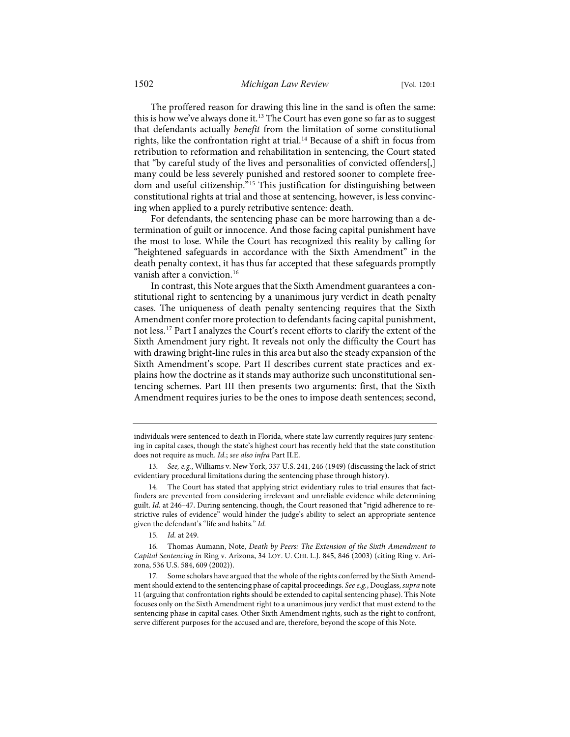The proffered reason for drawing this line in the sand is often the same: this is how we've always done it.<sup>13</sup> The Court has even gone so far as to suggest that defendants actually *benefit* from the limitation of some constitutional rights, like the confrontation right at trial.<sup>[14](#page-3-1)</sup> Because of a shift in focus from retribution to reformation and rehabilitation in sentencing, the Court stated that "by careful study of the lives and personalities of convicted offenders[,] many could be less severely punished and restored sooner to complete freedom and useful citizenship."[15](#page-3-2) This justification for distinguishing between constitutional rights at trial and those at sentencing, however, is less convincing when applied to a purely retributive sentence: death.

For defendants, the sentencing phase can be more harrowing than a determination of guilt or innocence. And those facing capital punishment have the most to lose. While the Court has recognized this reality by calling for "heightened safeguards in accordance with the Sixth Amendment" in the death penalty context, it has thus far accepted that these safeguards promptly vanish after a conviction.<sup>[16](#page-3-3)</sup>

<span id="page-3-5"></span>In contrast, this Note argues that the Sixth Amendment guarantees a constitutional right to sentencing by a unanimous jury verdict in death penalty cases. The uniqueness of death penalty sentencing requires that the Sixth Amendment confer more protection to defendants facing capital punishment, not less.[17](#page-3-4) Part I analyzes the Court's recent efforts to clarify the extent of the Sixth Amendment jury right. It reveals not only the difficulty the Court has with drawing bright-line rules in this area but also the steady expansion of the Sixth Amendment's scope. Part II describes current state practices and explains how the doctrine as it stands may authorize such unconstitutional sentencing schemes. Part III then presents two arguments: first, that the Sixth Amendment requires juries to be the ones to impose death sentences; second,

individuals were sentenced to death in Florida, where state law currently requires jury sentencing in capital cases, though the state's highest court has recently held that the state constitution does not require as much. *Id.*; *see also infra* Part II.E.

<span id="page-3-0"></span><sup>13.</sup> *See, e.g.*, Williams v. New York, 337 U.S. 241, 246 (1949) (discussing the lack of strict evidentiary procedural limitations during the sentencing phase through history).

<span id="page-3-1"></span><sup>14.</sup> The Court has stated that applying strict evidentiary rules to trial ensures that factfinders are prevented from considering irrelevant and unreliable evidence while determining guilt. *Id.* at 246–47. During sentencing, though, the Court reasoned that "rigid adherence to restrictive rules of evidence" would hinder the judge's ability to select an appropriate sentence given the defendant's "life and habits." *Id.*

<sup>15.</sup> *Id.* at 249.

<span id="page-3-3"></span><span id="page-3-2"></span><sup>16.</sup> Thomas Aumann, Note, *Death by Peers: The Extension of the Sixth Amendment to Capital Sentencing in* Ring v. Arizona, 34 LOY. U. CHI. L.J. 845, 846 (2003) (citing Ring v. Arizona, 536 U.S. 584, 609 (2002)).

<span id="page-3-4"></span><sup>17.</sup> Some scholars have argued that the whole of the rights conferred by the Sixth Amendment should extend to the sentencing phase of capital proceedings. *See e.g.*, Douglass, *supra* note [11](#page-2-12) (arguing that confrontation rights should be extended to capital sentencing phase). This Note focuses only on the Sixth Amendment right to a unanimous jury verdict that must extend to the sentencing phase in capital cases. Other Sixth Amendment rights, such as the right to confront, serve different purposes for the accused and are, therefore, beyond the scope of this Note.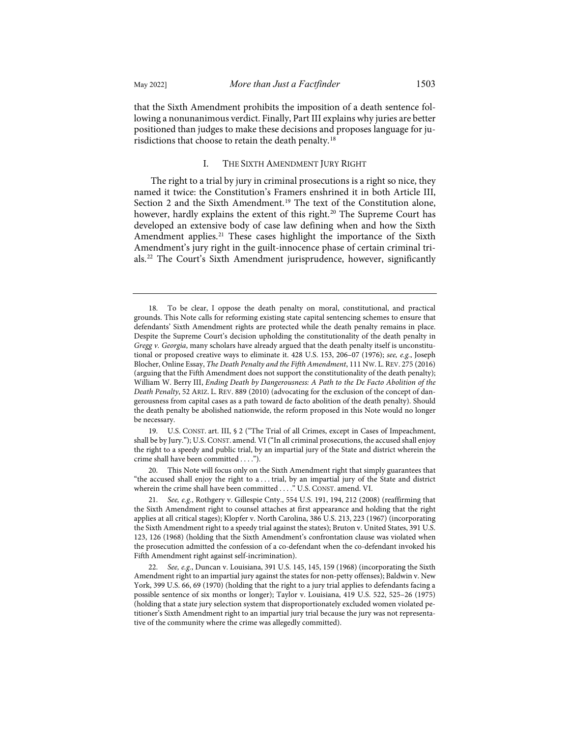that the Sixth Amendment prohibits the imposition of a death sentence following a nonunanimous verdict. Finally, Part III explains why juries are better positioned than judges to make these decisions and proposes language for jurisdictions that choose to retain the death penalty.[18](#page-4-0)

#### I. THE SIXTH AMENDMENT JURY RIGHT

The right to a trial by jury in criminal prosecutions is a right so nice, they named it twice: the Constitution's Framers enshrined it in both Article III, Section 2 and the Sixth Amendment.<sup>[19](#page-4-1)</sup> The text of the Constitution alone, however, hardly explains the extent of this right.<sup>[20](#page-4-2)</sup> The Supreme Court has developed an extensive body of case law defining when and how the Sixth Amendment applies.<sup>[21](#page-4-3)</sup> These cases highlight the importance of the Sixth Amendment's jury right in the guilt-innocence phase of certain criminal trials.[22](#page-4-4) The Court's Sixth Amendment jurisprudence, however, significantly

<span id="page-4-1"></span>19. U.S. CONST. art. III, § 2 ("The Trial of all Crimes, except in Cases of Impeachment, shall be by Jury."); U.S. CONST. amend. VI ("In all criminal prosecutions, the accused shall enjoy the right to a speedy and public trial, by an impartial jury of the State and district wherein the crime shall have been committed . . . .").

<span id="page-4-2"></span>20. This Note will focus only on the Sixth Amendment right that simply guarantees that "the accused shall enjoy the right to a . . . trial, by an impartial jury of the State and district wherein the crime shall have been committed . . . ." U.S. CONST. amend. VI.

<span id="page-4-3"></span>21. *See, e.g.*, Rothgery v. Gillespie Cnty., 554 U.S. 191, 194, 212 (2008) (reaffirming that the Sixth Amendment right to counsel attaches at first appearance and holding that the right applies at all critical stages); Klopfer v. North Carolina, 386 U.S. 213, 223 (1967) (incorporating the Sixth Amendment right to a speedy trial against the states); Bruton v. United States, 391 U.S. 123, 126 (1968) (holding that the Sixth Amendment's confrontation clause was violated when the prosecution admitted the confession of a co-defendant when the co-defendant invoked his Fifth Amendment right against self-incrimination).

<span id="page-4-0"></span><sup>18.</sup> To be clear, I oppose the death penalty on moral, constitutional, and practical grounds. This Note calls for reforming existing state capital sentencing schemes to ensure that defendants' Sixth Amendment rights are protected while the death penalty remains in place. Despite the Supreme Court's decision upholding the constitutionality of the death penalty in *Gregg v. Georgia*, many scholars have already argued that the death penalty itself is unconstitutional or proposed creative ways to eliminate it. 428 U.S. 153, 206–07 (1976); *see, e.g.*, Joseph Blocher, Online Essay, *The Death Penalty and the Fifth Amendment*, 111 NW. L. REV. 275 (2016) (arguing that the Fifth Amendment does not support the constitutionality of the death penalty); William W. Berry III, *Ending Death by Dangerousness: A Path to the De Facto Abolition of the Death Penalty*, 52 ARIZ. L. REV. 889 (2010) (advocating for the exclusion of the concept of dangerousness from capital cases as a path toward de facto abolition of the death penalty). Should the death penalty be abolished nationwide, the reform proposed in this Note would no longer be necessary.

<span id="page-4-4"></span><sup>22.</sup> *See, e.g.*, Duncan v. Louisiana, 391 U.S. 145, 145, 159 (1968) (incorporating the Sixth Amendment right to an impartial jury against the states for non-petty offenses); Baldwin v. New York, 399 U.S. 66, 69 (1970) (holding that the right to a jury trial applies to defendants facing a possible sentence of six months or longer); Taylor v. Louisiana, 419 U.S. 522, 525–26 (1975) (holding that a state jury selection system that disproportionately excluded women violated petitioner's Sixth Amendment right to an impartial jury trial because the jury was not representative of the community where the crime was allegedly committed).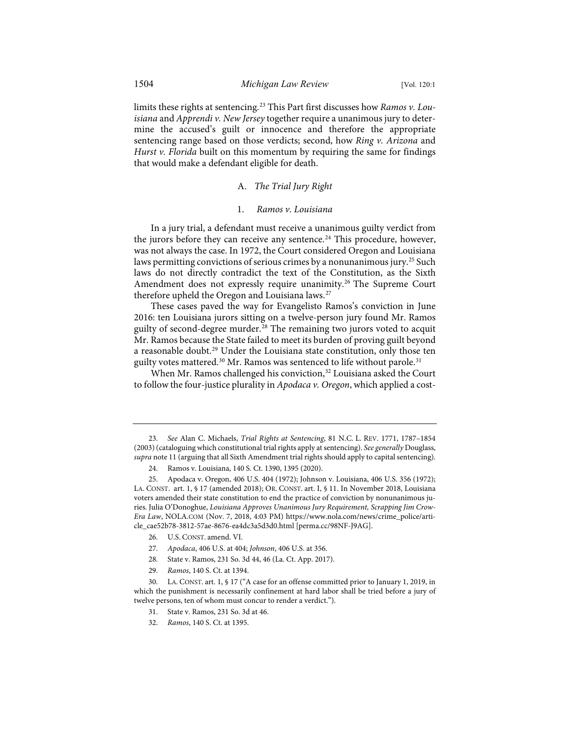limits these rights at sentencing.[23](#page-5-0) This Part first discusses how *Ramos v. Louisiana* and *Apprendi v. New Jersey* together require a unanimous jury to determine the accused's guilt or innocence and therefore the appropriate sentencing range based on those verdicts; second, how *Ring v. Arizona* and *Hurst v. Florida* built on this momentum by requiring the same for findings that would make a defendant eligible for death.

## A. *The Trial Jury Right*

#### 1. *Ramos v. Louisiana*

In a jury trial, a defendant must receive a unanimous guilty verdict from the jurors before they can receive any sentence.<sup>[24](#page-5-1)</sup> This procedure, however, was not always the case. In 1972, the Court considered Oregon and Louisiana laws permitting convictions of serious crimes by a nonunanimous jury.<sup>[25](#page-5-2)</sup> Such laws do not directly contradict the text of the Constitution, as the Sixth Amendment does not expressly require unanimity.<sup>[26](#page-5-3)</sup> The Supreme Court therefore upheld the Oregon and Louisiana laws.<sup>[27](#page-5-4)</sup>

These cases paved the way for Evangelisto Ramos's conviction in June 2016: ten Louisiana jurors sitting on a twelve-person jury found Mr. Ramos guilty of second-degree murder.<sup>[28](#page-5-5)</sup> The remaining two jurors voted to acquit Mr. Ramos because the State failed to meet its burden of proving guilt beyond a reasonable doubt.<sup>[29](#page-5-6)</sup> Under the Louisiana state constitution, only those ten guilty votes mattered.<sup>[30](#page-5-7)</sup> Mr. Ramos was sentenced to life without parole.<sup>[31](#page-5-8)</sup>

When Mr. Ramos challenged his conviction,<sup>32</sup> Louisiana asked the Court to follow the four-justice plurality in *Apodaca v. Oregon*, which applied a cost-

- 26. U.S. CONST. amend. VI.
- 27. *Apodaca*, 406 U.S. at 404; *Johnson*, 406 U.S. at 356.
- 28. State v. Ramos, 231 So. 3d 44, 46 (La. Ct. App. 2017).
- 29. *Ramos*, 140 S. Ct. at 1394.

<span id="page-5-0"></span><sup>23.</sup> *See* Alan C. Michaels, *Trial Rights at Sentencing*, 81 N.C. L. REV. 1771, 1787–1854 (2003) (cataloguing which constitutional trial rights apply at sentencing). *See generally* Douglass, *supra* not[e 11 \(](#page-2-12)arguing that all Sixth Amendment trial rights should apply to capital sentencing).

<sup>24.</sup> Ramos v. Louisiana, 140 S. Ct. 1390, 1395 (2020).

<span id="page-5-2"></span><span id="page-5-1"></span><sup>25.</sup> Apodaca v. Oregon, 406 U.S. 404 (1972); Johnson v. Louisiana, 406 U.S. 356 (1972); LA. CONST. art. 1, § 17 (amended 2018); OR. CONST. art. I, § 11. In November 2018, Louisiana voters amended their state constitution to end the practice of conviction by nonunanimous juries. Julia O'Donoghue, *Louisiana Approves Unanimous Jury Requirement, Scrapping Jim Crow-Era Law*, NOLA.COM (Nov. 7, 2018, 4:03 PM) [https://www.nola.com/news/crime\\_police/arti](https://www.nola.com/news/crime_police/article_cae52b78-3812-57ae-8676-ea4dc3a5d3d0.html)[cle\\_cae52b78-3812-57ae-8676-ea4dc3a5d3d0.html](https://www.nola.com/news/crime_police/article_cae52b78-3812-57ae-8676-ea4dc3a5d3d0.html) [\[perma.cc/98NF-J9AG\]](https://perma.cc/98NF-J9AG).

<span id="page-5-9"></span><span id="page-5-8"></span><span id="page-5-7"></span><span id="page-5-6"></span><span id="page-5-5"></span><span id="page-5-4"></span><span id="page-5-3"></span><sup>30.</sup> LA. CONST. art. 1, § 17 ("A case for an offense committed prior to January 1, 2019, in which the punishment is necessarily confinement at hard labor shall be tried before a jury of twelve persons, ten of whom must concur to render a verdict.").

<sup>31.</sup> State v. Ramos, 231 So. 3d at 46.

<sup>32.</sup> *Ramos*, 140 S. Ct. at 1395.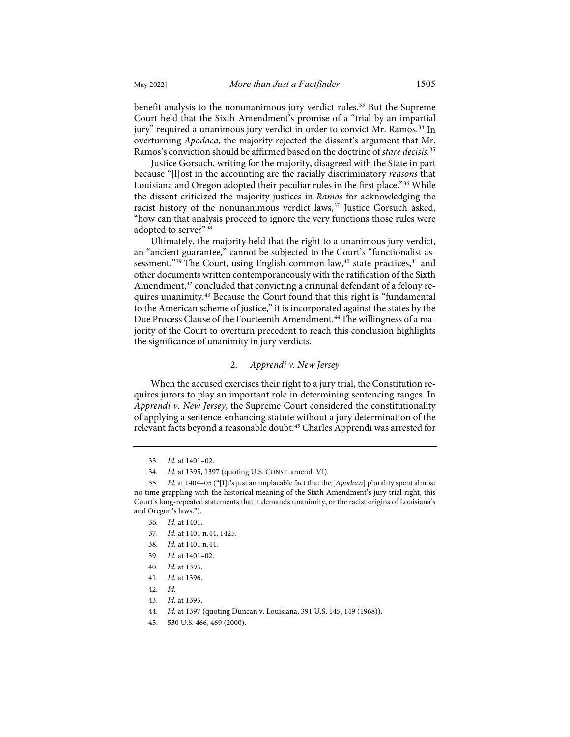benefit analysis to the nonunanimous jury verdict rules.<sup>[33](#page-6-0)</sup> But the Supreme Court held that the Sixth Amendment's promise of a "trial by an impartial jury" required a unanimous jury verdict in order to convict Mr. Ramos.[34](#page-6-1) In overturning *Apodaca*, the majority rejected the dissent's argument that Mr. Ramos's conviction should be affirmed based on the doctrine of *stare decisis*. [35](#page-6-2)

Justice Gorsuch, writing for the majority, disagreed with the State in part because "[l]ost in the accounting are the racially discriminatory *reasons* that Louisiana and Oregon adopted their peculiar rules in the first place."[36](#page-6-3) While the dissent criticized the majority justices in *Ramos* for acknowledging the racist history of the nonunanimous verdict laws,<sup>[37](#page-6-4)</sup> Justice Gorsuch asked, "how can that analysis proceed to ignore the very functions those rules were adopted to serve?"[38](#page-6-5)

Ultimately, the majority held that the right to a unanimous jury verdict, an "ancient guarantee," cannot be subjected to the Court's "functionalist as-sessment."<sup>[39](#page-6-6)</sup> The Court, using English common law,<sup>40</sup> state practices,<sup>[41](#page-6-8)</sup> and other documents written contemporaneously with the ratification of the Sixth Amendment,<sup>[42](#page-6-9)</sup> concluded that convicting a criminal defendant of a felony requires unanimity.[43](#page-6-10) Because the Court found that this right is "fundamental to the American scheme of justice," it is incorporated against the states by the Due Process Clause of the Fourteenth Amendment.<sup>[44](#page-6-11)</sup> The willingness of a majority of the Court to overturn precedent to reach this conclusion highlights the significance of unanimity in jury verdicts.

## 2. *Apprendi v. New Jersey*

When the accused exercises their right to a jury trial, the Constitution requires jurors to play an important role in determining sentencing ranges. In *Apprendi v. New Jersey*, the Supreme Court considered the constitutionality of applying a sentence-enhancing statute without a jury determination of the relevant facts beyond a reasonable doubt[.45](#page-6-12) Charles Apprendi was arrested for

<sup>33.</sup> *Id.* at 1401–02.

<sup>34.</sup> *Id.* at 1395, 1397 (quoting U.S. CONST. amend. VI).

<span id="page-6-5"></span><span id="page-6-4"></span><span id="page-6-3"></span><span id="page-6-2"></span><span id="page-6-1"></span><span id="page-6-0"></span><sup>35.</sup> *Id.* at 1404–05 ("[I]t's just an implacable fact that the [*Apodaca*] plurality spent almost no time grappling with the historical meaning of the Sixth Amendment's jury trial right, this Court's long-repeated statements that it demands unanimity, or the racist origins of Louisiana's and Oregon's laws.").

<sup>36.</sup> *Id.* at 1401.

<sup>37.</sup> *Id.* at 1401 n.44, 1425.

<sup>38.</sup> *Id.* at 1401 n.44.

<span id="page-6-6"></span><sup>39.</sup> *Id.* at 1401–02.

<sup>40.</sup> *Id.* at 1395.

<span id="page-6-9"></span><span id="page-6-8"></span><span id="page-6-7"></span><sup>41.</sup> *Id.* at 1396.

<sup>42.</sup> *Id.*

<span id="page-6-10"></span><sup>43.</sup> *Id.* at 1395.

<span id="page-6-11"></span><sup>44.</sup> *Id.* at 1397 (quoting Duncan v. Louisiana, 391 U.S. 145, 149 (1968)).

<span id="page-6-12"></span><sup>45. 530</sup> U.S. 466, 469 (2000).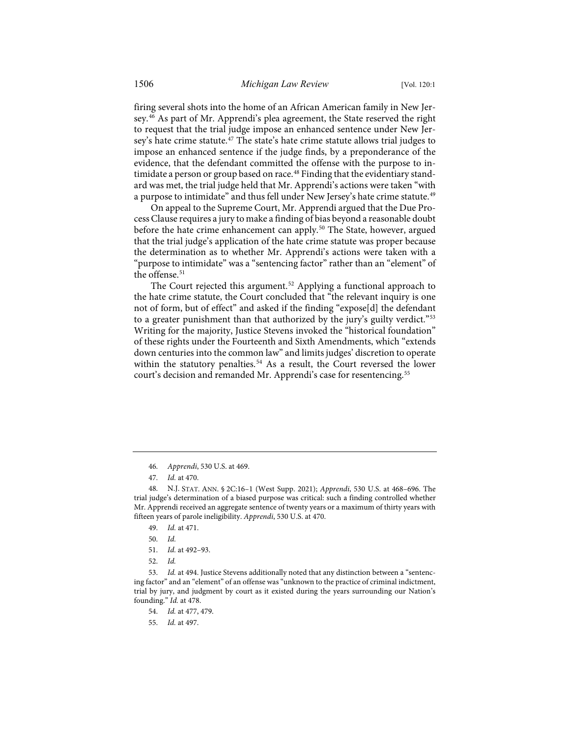firing several shots into the home of an African American family in New Jersey.[46](#page-7-0) As part of Mr. Apprendi's plea agreement, the State reserved the right to request that the trial judge impose an enhanced sentence under New Jer-sey's hate crime statute.<sup>[47](#page-7-1)</sup> The state's hate crime statute allows trial judges to impose an enhanced sentence if the judge finds, by a preponderance of the evidence, that the defendant committed the offense with the purpose to intimidate a person or group based on race.<sup>48</sup> Finding that the evidentiary standard was met, the trial judge held that Mr. Apprendi's actions were taken "with a purpose to intimidate" and thus fell under New Jersey's hate crime statute.<sup>[49](#page-7-3)</sup>

On appeal to the Supreme Court, Mr. Apprendi argued that the Due Process Clause requires a jury to make a finding of bias beyond a reasonable doubt before the hate crime enhancement can apply.<sup>[50](#page-7-4)</sup> The State, however, argued that the trial judge's application of the hate crime statute was proper because the determination as to whether Mr. Apprendi's actions were taken with a "purpose to intimidate" was a "sentencing factor" rather than an "element" of the offense.<sup>[51](#page-7-5)</sup>

The Court rejected this argument.<sup>[52](#page-7-6)</sup> Applying a functional approach to the hate crime statute, the Court concluded that "the relevant inquiry is one not of form, but of effect" and asked if the finding "expose[d] the defendant to a greater punishment than that authorized by the jury's guilty verdict."<sup>[53](#page-7-7)</sup> Writing for the majority, Justice Stevens invoked the "historical foundation" of these rights under the Fourteenth and Sixth Amendments, which "extends down centuries into the common law" and limits judges' discretion to operate within the statutory penalties.<sup>[54](#page-7-8)</sup> As a result, the Court reversed the lower court's decision and remanded Mr. Apprendi's case for resentencing.<sup>55</sup>

<span id="page-7-9"></span><span id="page-7-8"></span><span id="page-7-7"></span><span id="page-7-6"></span><span id="page-7-5"></span><span id="page-7-4"></span>53. *Id.* at 494. Justice Stevens additionally noted that any distinction between a "sentencing factor" and an "element" of an offense was "unknown to the practice of criminal indictment, trial by jury, and judgment by court as it existed during the years surrounding our Nation's founding." *Id.* at 478.

<sup>46.</sup> *Apprendi*, 530 U.S. at 469.

<sup>47.</sup> *Id.* at 470.

<span id="page-7-3"></span><span id="page-7-2"></span><span id="page-7-1"></span><span id="page-7-0"></span><sup>48.</sup> N.J. STAT. ANN. § 2C:16–1 (West Supp. 2021); *Apprendi*, 530 U.S. at 468–696. The trial judge's determination of a biased purpose was critical: such a finding controlled whether Mr. Apprendi received an aggregate sentence of twenty years or a maximum of thirty years with fifteen years of parole ineligibility. *Apprendi*, 530 U.S. at 470.

<sup>49.</sup> *Id.* at 471.

<sup>50.</sup> *Id.*

<sup>51.</sup> *Id.* at 492–93.

<sup>52.</sup> *Id.*

<sup>54.</sup> *Id.* at 477, 479.

<sup>55.</sup> *Id.* at 497.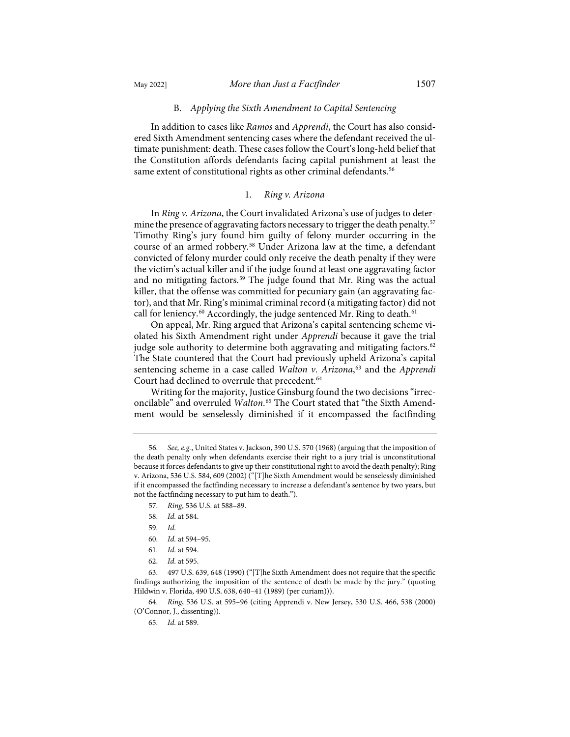## B. *Applying the Sixth Amendment to Capital Sentencing*

In addition to cases like *Ramos* and *Apprendi*, the Court has also considered Sixth Amendment sentencing cases where the defendant received the ultimate punishment: death. These cases follow the Court's long-held belief that the Constitution affords defendants facing capital punishment at least the same extent of constitutional rights as other criminal defendants.<sup>[56](#page-8-0)</sup>

# 1. *Ring v. Arizona*

In *Ring v. Arizona*, the Court invalidated Arizona's use of judges to deter-mine the presence of aggravating factors necessary to trigger the death penalty.<sup>[57](#page-8-1)</sup> Timothy Ring's jury found him guilty of felony murder occurring in the course of an armed robbery.[58](#page-8-2) Under Arizona law at the time, a defendant convicted of felony murder could only receive the death penalty if they were the victim's actual killer and if the judge found at least one aggravating factor and no mitigating factors.<sup>[59](#page-8-3)</sup> The judge found that Mr. Ring was the actual killer, that the offense was committed for pecuniary gain (an aggravating factor), and that Mr. Ring's minimal criminal record (a mitigating factor) did not call for leniency.<sup>[60](#page-8-4)</sup> Accordingly, the judge sentenced Mr. Ring to death.<sup>[61](#page-8-5)</sup>

On appeal, Mr. Ring argued that Arizona's capital sentencing scheme violated his Sixth Amendment right under *Apprendi* because it gave the trial judge sole authority to determine both aggravating and mitigating factors.<sup>[62](#page-8-6)</sup> The State countered that the Court had previously upheld Arizona's capital sentencing scheme in a case called *Walton v. Arizona*, [63](#page-8-7) and the *Apprendi* Court had declined to overrule that precedent.<sup>[64](#page-8-8)</sup>

Writing for the majority, Justice Ginsburg found the two decisions "irreconcilable" and overruled *Walton*. [65](#page-8-9) The Court stated that "the Sixth Amendment would be senselessly diminished if it encompassed the factfinding

<span id="page-8-9"></span><span id="page-8-8"></span>64. *Ring*, 536 U.S. at 595–96 (citing Apprendi v. New Jersey, 530 U.S. 466, 538 (2000) (O'Connor, J., dissenting)).

65. *Id.* at 589.

<span id="page-8-1"></span><span id="page-8-0"></span><sup>56.</sup> *See, e.g.*, United States v. Jackson, 390 U.S. 570 (1968) (arguing that the imposition of the death penalty only when defendants exercise their right to a jury trial is unconstitutional because it forces defendants to give up their constitutional right to avoid the death penalty); Ring v. Arizona, 536 U.S. 584, 609 (2002) ("[T]he Sixth Amendment would be senselessly diminished if it encompassed the factfinding necessary to increase a defendant's sentence by two years, but not the factfinding necessary to put him to death.").

<sup>57.</sup> *Ring*, 536 U.S. at 588–89.

<sup>58.</sup> *Id.* at 584.

<sup>59.</sup> *Id.*

<sup>60.</sup> *Id.* at 594–95.

<sup>61.</sup> *Id.* at 594.

<sup>62.</sup> *Id.* at 595.

<span id="page-8-7"></span><span id="page-8-6"></span><span id="page-8-5"></span><span id="page-8-4"></span><span id="page-8-3"></span><span id="page-8-2"></span><sup>63. 497</sup> U.S. 639, 648 (1990) ("[T]he Sixth Amendment does not require that the specific findings authorizing the imposition of the sentence of death be made by the jury." (quoting Hildwin v. Florida, 490 U.S. 638, 640–41 (1989) (per curiam))).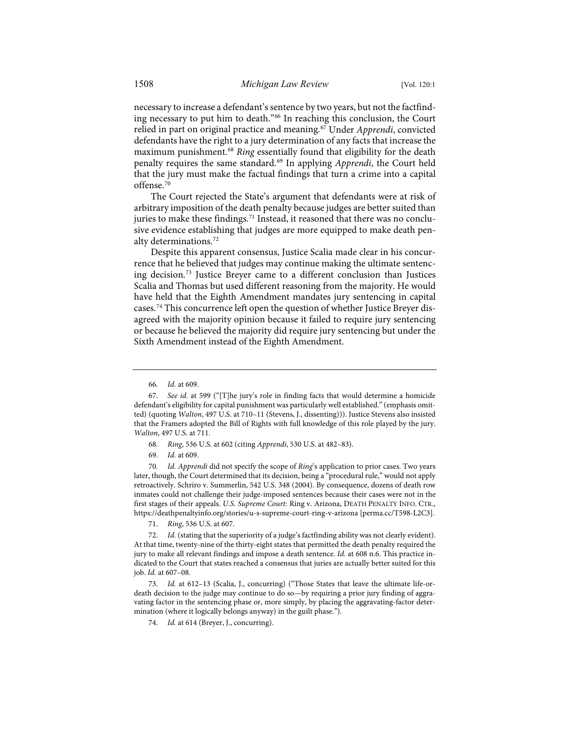necessary to increase a defendant's sentence by two years, but not the factfinding necessary to put him to death."[66](#page-9-0) In reaching this conclusion, the Court relied in part on original practice and meaning[.67](#page-9-1) Under *Apprendi*, convicted defendants have the right to a jury determination of any facts that increase the maximum punishment.[68](#page-9-2) *Ring* essentially found that eligibility for the death penalty requires the same standard.[69](#page-9-3) In applying *Apprendi*, the Court held that the jury must make the factual findings that turn a crime into a capital offense.<sup>[70](#page-9-4)</sup>

The Court rejected the State's argument that defendants were at risk of arbitrary imposition of the death penalty because judges are better suited than juries to make these findings.<sup>[71](#page-9-5)</sup> Instead, it reasoned that there was no conclusive evidence establishing that judges are more equipped to make death penalty determinations.[72](#page-9-6)

Despite this apparent consensus, Justice Scalia made clear in his concurrence that he believed that judges may continue making the ultimate sentencing decision.[73](#page-9-7) Justice Breyer came to a different conclusion than Justices Scalia and Thomas but used different reasoning from the majority. He would have held that the Eighth Amendment mandates jury sentencing in capital cases.[74](#page-9-8) This concurrence left open the question of whether Justice Breyer disagreed with the majority opinion because it failed to require jury sentencing or because he believed the majority did require jury sentencing but under the Sixth Amendment instead of the Eighth Amendment.

- 68. *Ring*, 536 U.S. at 602 (citing *Apprendi*, 530 U.S. at 482–83).
- 69. *Id.* at 609.

<span id="page-9-4"></span><span id="page-9-3"></span><span id="page-9-2"></span>70. *Id. Apprendi* did not specify the scope of *Ring*'s application to prior cases. Two years later, though, the Court determined that its decision, being a "procedural rule," would not apply retroactively. Schriro v. Summerlin, 542 U.S. 348 (2004). By consequence, dozens of death row inmates could not challenge their judge-imposed sentences because their cases were not in the first stages of their appeals. *U.S. Supreme Court:* Ring v. Arizona, DEATH PENALTY INFO. CTR., <https://deathpenaltyinfo.org/stories/u-s-supreme-court-ring-v-arizona>[\[perma.cc/T598-L2C3\]](https://perma.cc/T598-L2C3).

71. *Ring*, 536 U.S. at 607.

<span id="page-9-6"></span><span id="page-9-5"></span>72. *Id.* (stating that the superiority of a judge's factfinding ability was not clearly evident). At that time, twenty-nine of the thirty-eight states that permitted the death penalty required the jury to make all relevant findings and impose a death sentence. *Id.* at 608 n.6. This practice indicated to the Court that states reached a consensus that juries are actually better suited for this job. *Id.* at 607–08.

<span id="page-9-8"></span><span id="page-9-7"></span>73. *Id.* at 612–13 (Scalia, J., concurring) ("Those States that leave the ultimate life-ordeath decision to the judge may continue to do so—by requiring a prior jury finding of aggravating factor in the sentencing phase or, more simply, by placing the aggravating-factor determination (where it logically belongs anyway) in the guilt phase.").

74. *Id.* at 614 (Breyer, J., concurring).

<sup>66.</sup> *Id.* at 609.

<span id="page-9-1"></span><span id="page-9-0"></span><sup>67.</sup> *See id.* at 599 ("[T]he jury's role in finding facts that would determine a homicide defendant's eligibility for capital punishment was particularly well established." (emphasis omitted) (quoting *Walton*, 497 U.S. at 710–11 (Stevens, J., dissenting))). Justice Stevens also insisted that the Framers adopted the Bill of Rights with full knowledge of this role played by the jury. *Walton*, 497 U.S. at 711.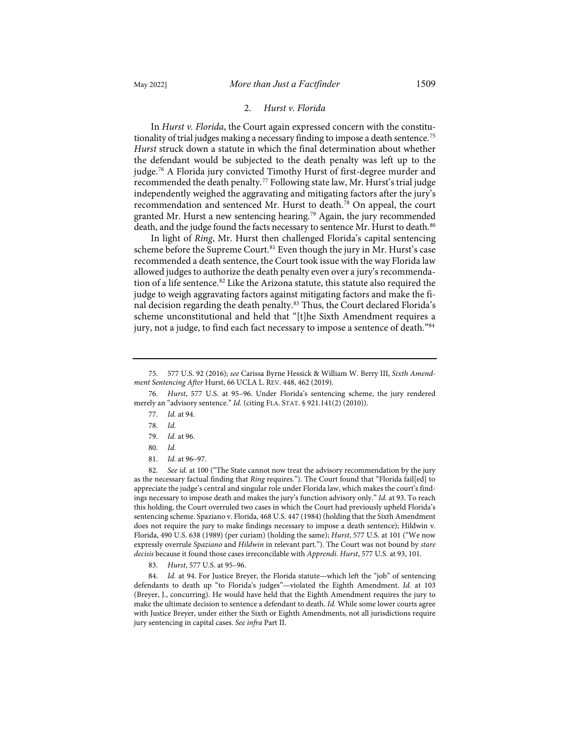## <span id="page-10-10"></span>2. *Hurst v. Florida*

In *Hurst v. Florida*, the Court again expressed concern with the constitu-tionality of trial judges making a necessary finding to impose a death sentence.<sup>[75](#page-10-0)</sup> *Hurst* struck down a statute in which the final determination about whether the defendant would be subjected to the death penalty was left up to the judge.[76](#page-10-1) A Florida jury convicted Timothy Hurst of first-degree murder and recommended the death penalty.<sup>[77](#page-10-2)</sup> Following state law, Mr. Hurst's trial judge independently weighed the aggravating and mitigating factors after the jury's recommendation and sentenced Mr. Hurst to death[.78](#page-10-3) On appeal, the court granted Mr. Hurst a new sentencing hearing.<sup>[79](#page-10-4)</sup> Again, the jury recommended death, and the judge found the facts necessary to sentence Mr. Hurst to death.<sup>[80](#page-10-5)</sup>

In light of *Ring*, Mr. Hurst then challenged Florida's capital sentencing scheme before the Supreme Court.<sup>[81](#page-10-6)</sup> Even though the jury in Mr. Hurst's case recommended a death sentence, the Court took issue with the way Florida law allowed judges to authorize the death penalty even over a jury's recommendation of a life sentence.[82](#page-10-7) Like the Arizona statute, this statute also required the judge to weigh aggravating factors against mitigating factors and make the final decision regarding the death penalty.[83](#page-10-8) Thus, the Court declared Florida's scheme unconstitutional and held that "[t]he Sixth Amendment requires a jury, not a judge, to find each fact necessary to impose a sentence of death."[84](#page-10-9)

<span id="page-10-3"></span><span id="page-10-2"></span><span id="page-10-1"></span>76. *Hurst*, 577 U.S. at 95–96. Under Florida's sentencing scheme, the jury rendered merely an "advisory sentence." *Id.* (citing FLA. STAT. § 921.141(2) (2010)).

- 77. *Id.* at 94.
- 78. *Id.*
- 79. *Id.* at 96.
- 80. *Id.*
- 81. *Id.* at 96–97.

<span id="page-10-7"></span><span id="page-10-6"></span><span id="page-10-5"></span><span id="page-10-4"></span>82. *See id.* at 100 ("The State cannot now treat the advisory recommendation by the jury as the necessary factual finding that *Ring* requires."). The Court found that "Florida fail[ed] to appreciate the judge's central and singular role under Florida law, which makes the court's findings necessary to impose death and makes the jury's function advisory only." *Id.* at 93. To reach this holding, the Court overruled two cases in which the Court had previously upheld Florida's sentencing scheme. Spaziano v. Florida, 468 U.S. 447 (1984) (holding that the Sixth Amendment does not require the jury to make findings necessary to impose a death sentence); Hildwin v. Florida, 490 U.S. 638 (1989) (per curiam) (holding the same); *Hurst*, 577 U.S. at 101 ("We now expressly overrule *Spaziano* and *Hildwin* in relevant part."). The Court was not bound by *stare decisis* because it found those cases irreconcilable with *Apprendi*. *Hurst*, 577 U.S. at 93, 101.

83. *Hurst*, 577 U.S. at 95–96.

<span id="page-10-9"></span><span id="page-10-8"></span>84. *Id.* at 94. For Justice Breyer, the Florida statute—which left the "job" of sentencing defendants to death up "to Florida's judges"—violated the Eighth Amendment. *Id.* at 103 (Breyer, J., concurring). He would have held that the Eighth Amendment requires the jury to make the ultimate decision to sentence a defendant to death. *Id.* While some lower courts agree with Justice Breyer, under either the Sixth or Eighth Amendments, not all jurisdictions require jury sentencing in capital cases. *See infra* Part II.

<span id="page-10-0"></span><sup>75. 577</sup> U.S. 92 (2016); *see* Carissa Byrne Hessick & William W. Berry III, *Sixth Amendment Sentencing After* Hurst, 66 UCLA L. REV. 448, 462 (2019).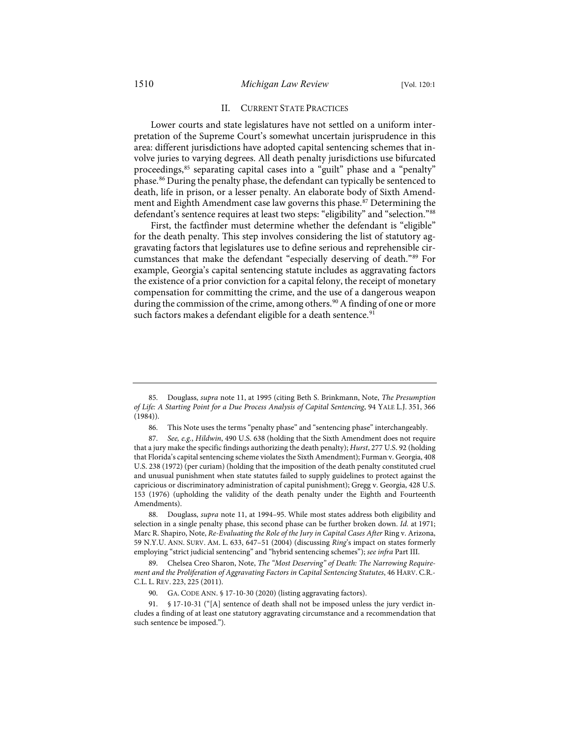## <span id="page-11-7"></span>II. CURRENT STATE PRACTICES

Lower courts and state legislatures have not settled on a uniform interpretation of the Supreme Court's somewhat uncertain jurisprudence in this area: different jurisdictions have adopted capital sentencing schemes that involve juries to varying degrees. All death penalty jurisdictions use bifurcated proceedings,[85](#page-11-0) separating capital cases into a "guilt" phase and a "penalty" phase.[86](#page-11-1) During the penalty phase, the defendant can typically be sentenced to death, life in prison, or a lesser penalty. An elaborate body of Sixth Amend-ment and Eighth Amendment case law governs this phase.<sup>[87](#page-11-2)</sup> Determining the defendant's sentence requires at least two steps: "eligibility" and "selection."[88](#page-11-3)

First, the factfinder must determine whether the defendant is "eligible" for the death penalty. This step involves considering the list of statutory aggravating factors that legislatures use to define serious and reprehensible circumstances that make the defendant "especially deserving of death."[89](#page-11-4) For example, Georgia's capital sentencing statute includes as aggravating factors the existence of a prior conviction for a capital felony, the receipt of monetary compensation for committing the crime, and the use of a dangerous weapon during the commission of the crime, among others.<sup>[90](#page-11-5)</sup> A finding of one or more such factors makes a defendant eligible for a death sentence.<sup>[91](#page-11-6)</sup>

<span id="page-11-0"></span><sup>85.</sup> Douglass, *supra* not[e 11,](#page-2-12) at 1995 (citing Beth S. Brinkmann, Note, *The Presumption of Life: A Starting Point for a Due Process Analysis of Capital Sentencing*, 94 YALE L.J. 351, 366 (1984)).

<sup>86.</sup> This Note uses the terms "penalty phase" and "sentencing phase" interchangeably.

<span id="page-11-2"></span><span id="page-11-1"></span><sup>87.</sup> *See, e.g.*, *Hildwin*, 490 U.S. 638 (holding that the Sixth Amendment does not require that a jury make the specific findings authorizing the death penalty); *Hurst*, 277 U.S. 92 (holding that Florida's capital sentencing scheme violates the Sixth Amendment); Furman v. Georgia, 408 U.S. 238 (1972) (per curiam) (holding that the imposition of the death penalty constituted cruel and unusual punishment when state statutes failed to supply guidelines to protect against the capricious or discriminatory administration of capital punishment); Gregg v. Georgia, 428 U.S. 153 (1976) (upholding the validity of the death penalty under the Eighth and Fourteenth Amendments).

<span id="page-11-3"></span><sup>88.</sup> Douglass, *supra* note [11,](#page-2-12) at 1994–95. While most states address both eligibility and selection in a single penalty phase, this second phase can be further broken down. *Id.* at 1971; Marc R. Shapiro, Note, *Re-Evaluating the Role of the Jury in Capital Cases After* Ring v. Arizona, 59 N.Y.U. ANN. SURV. AM. L. 633, 647–51 (2004) (discussing *Ring*'s impact on states formerly employing "strict judicial sentencing" and "hybrid sentencing schemes"); *see infra* Part III.

<span id="page-11-4"></span><sup>89.</sup> Chelsea Creo Sharon, Note, *The "Most Deserving" of Death: The Narrowing Requirement and the Proliferation of Aggravating Factors in Capital Sentencing Statutes*, 46 HARV. C.R.- C.L. L. REV. 223, 225 (2011).

<sup>90.</sup> GA. CODE ANN. § 17-10-30 (2020) (listing aggravating factors).

<span id="page-11-6"></span><span id="page-11-5"></span><sup>91. § 17-10-31 (&</sup>quot;[A] sentence of death shall not be imposed unless the jury verdict includes a finding of at least one statutory aggravating circumstance and a recommendation that such sentence be imposed.").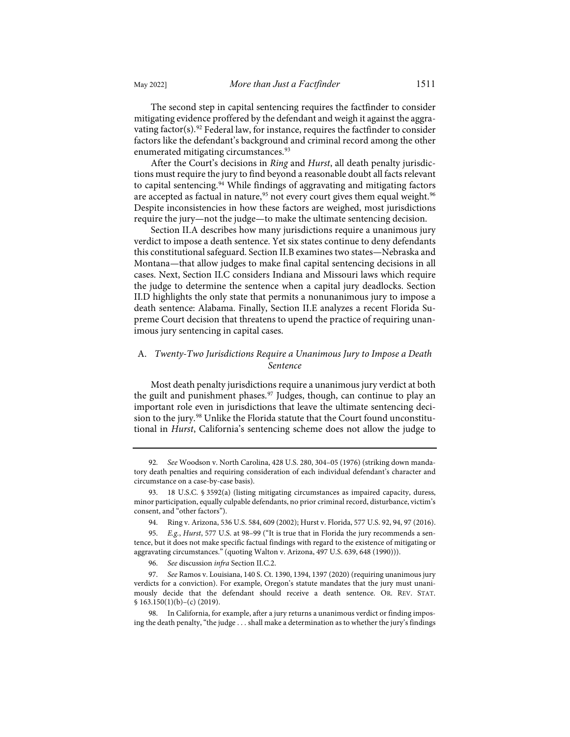The second step in capital sentencing requires the factfinder to consider mitigating evidence proffered by the defendant and weigh it against the aggra-vating factor(s).<sup>[92](#page-12-0)</sup> Federal law, for instance, requires the factfinder to consider factors like the defendant's background and criminal record among the other enumerated mitigating circumstances.<sup>[93](#page-12-1)</sup>

After the Court's decisions in *Ring* and *Hurst*, all death penalty jurisdictions must require the jury to find beyond a reasonable doubt all facts relevant to capital sentencing.<sup>94</sup> While findings of aggravating and mitigating factors are accepted as factual in nature,<sup>[95](#page-12-3)</sup> not every court gives them equal weight.<sup>[96](#page-12-4)</sup> Despite inconsistencies in how these factors are weighed, most jurisdictions require the jury—not the judge—to make the ultimate sentencing decision.

Section II.A describes how many jurisdictions require a unanimous jury verdict to impose a death sentence. Yet six states continue to deny defendants this constitutional safeguard. Section II.B examines two states—Nebraska and Montana—that allow judges to make final capital sentencing decisions in all cases. Next, Section II.C considers Indiana and Missouri laws which require the judge to determine the sentence when a capital jury deadlocks. Section II.D highlights the only state that permits a nonunanimous jury to impose a death sentence: Alabama. Finally, Section II.E analyzes a recent Florida Supreme Court decision that threatens to upend the practice of requiring unanimous jury sentencing in capital cases.

# A. *Twenty-Two Jurisdictions Require a Unanimous Jury to Impose a Death Sentence*

Most death penalty jurisdictions require a unanimous jury verdict at both the guilt and punishment phases.<sup>[97](#page-12-5)</sup> Judges, though, can continue to play an important role even in jurisdictions that leave the ultimate sentencing deci-sion to the jury.<sup>[98](#page-12-6)</sup> Unlike the Florida statute that the Court found unconstitutional in *Hurst*, California's sentencing scheme does not allow the judge to

<span id="page-12-0"></span><sup>92.</sup> *See* Woodson v. North Carolina, 428 U.S. 280, 304–05 (1976) (striking down mandatory death penalties and requiring consideration of each individual defendant's character and circumstance on a case-by-case basis).

<span id="page-12-1"></span><sup>93. 18</sup> U.S.C. § 3592(a) (listing mitigating circumstances as impaired capacity, duress, minor participation, equally culpable defendants, no prior criminal record, disturbance, victim's consent, and "other factors").

<sup>94.</sup> Ring v. Arizona, 536 U.S. 584, 609 (2002); Hurst v. Florida, 577 U.S. 92, 94, 97 (2016).

<span id="page-12-3"></span><span id="page-12-2"></span><sup>95.</sup> *E.g.*, *Hurst*, 577 U.S. at 98–99 ("It is true that in Florida the jury recommends a sentence, but it does not make specific factual findings with regard to the existence of mitigating or aggravating circumstances." (quoting Walton v. Arizona, 497 U.S. 639, 648 (1990))).

<sup>96.</sup> *See* discussion *infra* Section II.C.2.

<span id="page-12-5"></span><span id="page-12-4"></span><sup>97.</sup> *See* Ramos v. Louisiana, 140 S. Ct. 1390, 1394, 1397 (2020) (requiring unanimous jury verdicts for a conviction). For example, Oregon's statute mandates that the jury must unanimously decide that the defendant should receive a death sentence. OR. REV. STAT.  $$163.150(1)(b)-(c)(2019).$ 

<span id="page-12-6"></span><sup>98.</sup> In California, for example, after a jury returns a unanimous verdict or finding imposing the death penalty, "the judge . . . shall make a determination as to whether the jury's findings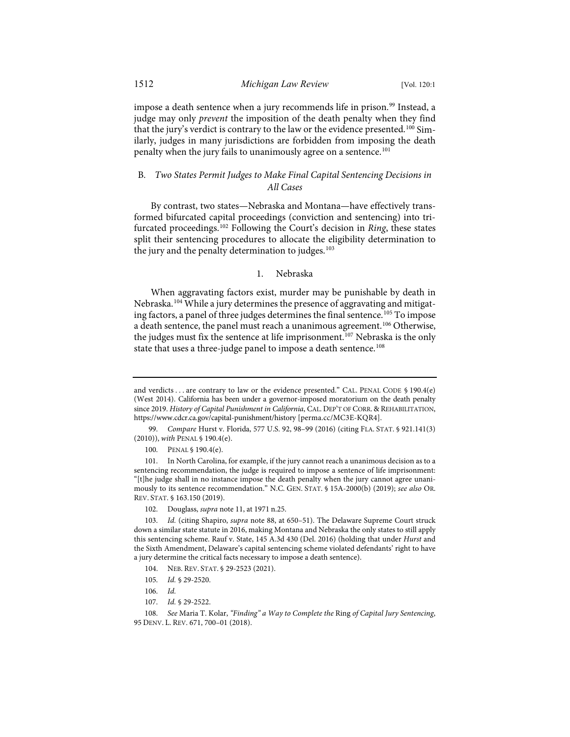impose a death sentence when a jury recommends life in prison.<sup>[99](#page-13-0)</sup> Instead, a judge may only *prevent* the imposition of the death penalty when they find that the jury's verdict is contrary to the law or the evidence presented.<sup>[100](#page-13-1)</sup> Similarly, judges in many jurisdictions are forbidden from imposing the death penalty when the jury fails to unanimously agree on a sentence.<sup>[101](#page-13-2)</sup>

# B*. Two States Permit Judges to Make Final Capital Sentencing Decisions in All Cases*

By contrast, two states—Nebraska and Montana—have effectively transformed bifurcated capital proceedings (conviction and sentencing) into trifurcated proceedings.[102](#page-13-3) Following the Court's decision in *Ring*, these states split their sentencing procedures to allocate the eligibility determination to the jury and the penalty determination to judges.<sup>[103](#page-13-4)</sup>

## 1. Nebraska

When aggravating factors exist, murder may be punishable by death in Nebraska.[104](#page-13-5) While a jury determines the presence of aggravating and mitigat-ing factors, a panel of three judges determines the final sentence.<sup>[105](#page-13-6)</sup> To impose a death sentence, the panel must reach a unanimous agreement.<sup>[106](#page-13-7)</sup> Otherwise, the judges must fix the sentence at life imprisonment.<sup>[107](#page-13-8)</sup> Nebraska is the only state that uses a three-judge panel to impose a death sentence.<sup>[108](#page-13-9)</sup>

and verdicts . . . are contrary to law or the evidence presented." CAL. PENAL CODE § 190.4(e) (West 2014). California has been under a governor-imposed moratorium on the death penalty since 2019. *History of Capital Punishment in California*, CAL. DEP'T OF CORR. & REHABILITATION, [https://www.cdcr.ca.gov/capital-punishment/history](https://www.cdcr.ca.gov/capital-punishment/history/) [\[perma.cc/MC3E-KQR4\]](https://perma.cc/MC3E-KQR4).

<span id="page-13-0"></span><sup>99.</sup> *Compare* Hurst v. Florida, 577 U.S. 92, 98–99 (2016) (citing FLA. STAT. § 921.141(3) (2010)), *with* PENAL § 190.4(e).

<sup>100.</sup> PENAL § 190.4(e).

<span id="page-13-2"></span><span id="page-13-1"></span><sup>101.</sup> In North Carolina, for example, if the jury cannot reach a unanimous decision as to a sentencing recommendation, the judge is required to impose a sentence of life imprisonment: "[t]he judge shall in no instance impose the death penalty when the jury cannot agree unanimously to its sentence recommendation." N.C. GEN. STAT. § 15A-2000(b) (2019); *see also* OR. REV. STAT. § 163.150 (2019).

<sup>102.</sup> Douglass, *supra* not[e 11,](#page-2-12) at 1971 n.25.

<span id="page-13-4"></span><span id="page-13-3"></span><sup>103.</sup> *Id.* (citing Shapiro, *supra* not[e 88,](#page-11-7) at 650–51). The Delaware Supreme Court struck down a similar state statute in 2016, making Montana and Nebraska the only states to still apply this sentencing scheme. Rauf v. State, 145 A.3d 430 (Del. 2016) (holding that under *Hurst* and the Sixth Amendment, Delaware's capital sentencing scheme violated defendants' right to have a jury determine the critical facts necessary to impose a death sentence).

<sup>104.</sup> NEB. REV. STAT. § 29-2523 (2021).

<sup>105.</sup> *Id.* § 29-2520.

<sup>106.</sup> *Id.*

<sup>107.</sup> *Id.* § 29-2522.

<span id="page-13-9"></span><span id="page-13-8"></span><span id="page-13-7"></span><span id="page-13-6"></span><span id="page-13-5"></span><sup>108.</sup> *See* Maria T. Kolar, *"Finding" a Way to Complete the* Ring *of Capital Jury Sentencing*, 95 DENV. L. REV. 671, 700–01 (2018).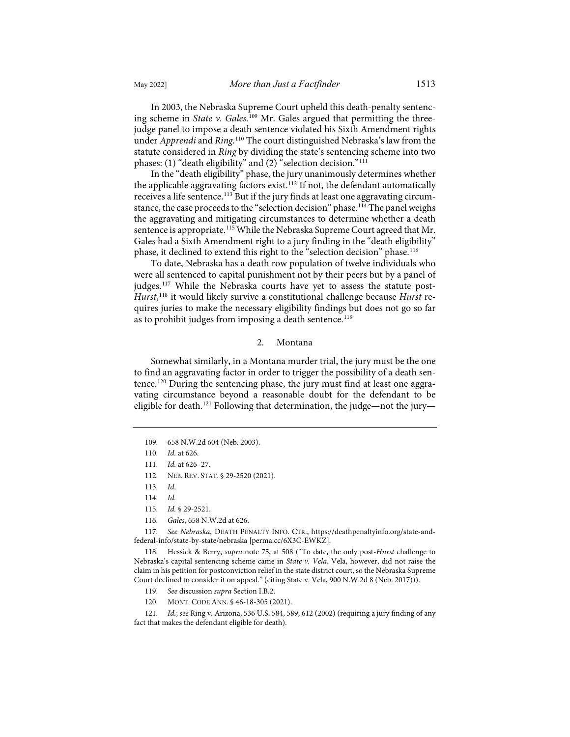In 2003, the Nebraska Supreme Court upheld this death-penalty sentencing scheme in *State v. Gales*.<sup>[109](#page-14-0)</sup> Mr. Gales argued that permitting the threejudge panel to impose a death sentence violated his Sixth Amendment rights under *Apprendi* and *Ring*. [110](#page-14-1) The court distinguished Nebraska's law from the statute considered in *Ring* by dividing the state's sentencing scheme into two phases: (1) "death eligibility" and (2) "selection decision."[111](#page-14-2)

In the "death eligibility" phase, the jury unanimously determines whether the applicable aggravating factors exist.<sup>[112](#page-14-3)</sup> If not, the defendant automatically receives a life sentence.<sup>113</sup> But if the jury finds at least one aggravating circum-stance, the case proceeds to the "selection decision" phase.<sup>[114](#page-14-5)</sup> The panel weighs the aggravating and mitigating circumstances to determine whether a death sentence is appropriate.<sup>[115](#page-14-6)</sup> While the Nebraska Supreme Court agreed that Mr. Gales had a Sixth Amendment right to a jury finding in the "death eligibility" phase, it declined to extend this right to the "selection decision" phase.[116](#page-14-7)

To date, Nebraska has a death row population of twelve individuals who were all sentenced to capital punishment not by their peers but by a panel of judges.<sup>[117](#page-14-8)</sup> While the Nebraska courts have yet to assess the statute post-*Hurst*, [118](#page-14-9) it would likely survive a constitutional challenge because *Hurst* requires juries to make the necessary eligibility findings but does not go so far as to prohibit judges from imposing a death sentence.<sup>119</sup>

## 2. Montana

Somewhat similarly, in a Montana murder trial, the jury must be the one to find an aggravating factor in order to trigger the possibility of a death sen-tence.<sup>[120](#page-14-11)</sup> During the sentencing phase, the jury must find at least one aggravating circumstance beyond a reasonable doubt for the defendant to be eligible for death.<sup>[121](#page-14-12)</sup> Following that determination, the judge—not the jury—

<span id="page-14-8"></span><span id="page-14-7"></span><span id="page-14-6"></span><span id="page-14-5"></span><span id="page-14-4"></span>117. *See Nebraska*, DEATH PENALTY INFO. CTR., [https://deathpenaltyinfo.org/state-and](https://deathpenaltyinfo.org/state-and-federal-info/state-by-state/nebraska)[federal-info/state-by-state/nebraska](https://deathpenaltyinfo.org/state-and-federal-info/state-by-state/nebraska) [\[perma.cc/6X3C-EWKZ\]](https://perma.cc/6X3C-EWKZ).

<span id="page-14-9"></span>118. Hessick & Berry, *supra* note [75,](#page-10-10) at 508 ("To date, the only post-*Hurst* challenge to Nebraska's capital sentencing scheme came in *State v. Vela*. Vela, however, did not raise the claim in his petition for postconviction relief in the state district court, so the Nebraska Supreme Court declined to consider it on appeal." (citing State v. Vela, 900 N.W.2d 8 (Neb. 2017))).

- 119. *See* discussion *supra* Section I.B.2.
- 120. MONT. CODE ANN. § 46-18-305 (2021).

<span id="page-14-12"></span><span id="page-14-11"></span><span id="page-14-10"></span>121. *Id.*; *see* Ring v. Arizona, 536 U.S. 584, 589, 612 (2002) (requiring a jury finding of any fact that makes the defendant eligible for death).

<span id="page-14-0"></span><sup>109. 658</sup> N.W.2d 604 (Neb. 2003).

<span id="page-14-1"></span><sup>110.</sup> *Id.* at 626.

<span id="page-14-3"></span><span id="page-14-2"></span><sup>111.</sup> *Id.* at 626–27.

<sup>112.</sup> NEB. REV. STAT. § 29-2520 (2021).

<sup>113.</sup> *Id.*

<sup>114.</sup> *Id.*

<sup>115.</sup> *Id.* § 29-2521.

<sup>116.</sup> *Gales*, 658 N.W.2d at 626.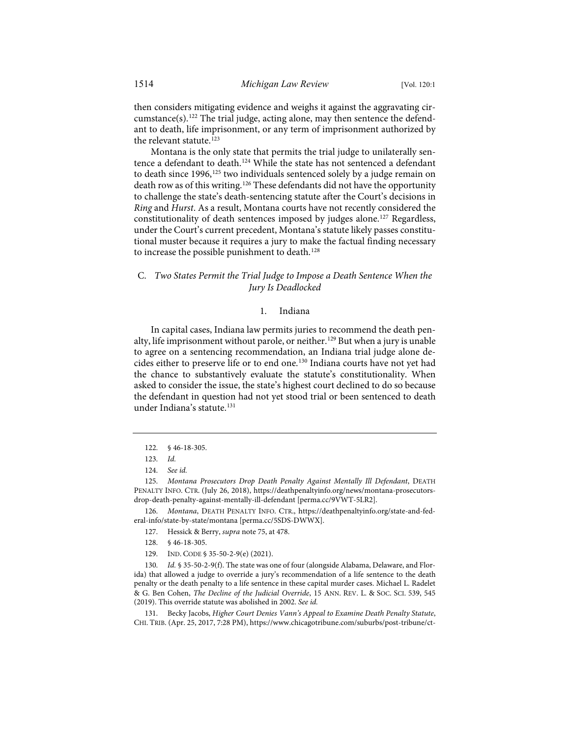then considers mitigating evidence and weighs it against the aggravating circumstance(s).[122](#page-15-0) The trial judge, acting alone, may then sentence the defendant to death, life imprisonment, or any term of imprisonment authorized by the relevant statute.<sup>[123](#page-15-1)</sup>

Montana is the only state that permits the trial judge to unilaterally sen-tence a defendant to death.<sup>[124](#page-15-2)</sup> While the state has not sentenced a defendant to death since 1996,<sup>[125](#page-15-3)</sup> two individuals sentenced solely by a judge remain on death row as of this writing.[126](#page-15-4) These defendants did not have the opportunity to challenge the state's death-sentencing statute after the Court's decisions in *Ring* and *Hurst*. As a result, Montana courts have not recently considered the constitutionality of death sentences imposed by judges alone.<sup>[127](#page-15-5)</sup> Regardless, under the Court's current precedent, Montana's statute likely passes constitutional muster because it requires a jury to make the factual finding necessary to increase the possible punishment to death.<sup>[128](#page-15-6)</sup>

# C. *Two States Permit the Trial Judge to Impose a Death Sentence When the Jury Is Deadlocked*

# <span id="page-15-10"></span>1. Indiana

In capital cases, Indiana law permits juries to recommend the death pen-alty, life imprisonment without parole, or neither.<sup>[129](#page-15-7)</sup> But when a jury is unable to agree on a sentencing recommendation, an Indiana trial judge alone decides either to preserve life or to end one.[130](#page-15-8) Indiana courts have not yet had the chance to substantively evaluate the statute's constitutionality. When asked to consider the issue, the state's highest court declined to do so because the defendant in question had not yet stood trial or been sentenced to death under Indiana's statute.<sup>[131](#page-15-9)</sup>

<span id="page-15-5"></span><span id="page-15-4"></span>126. *Montana*, DEATH PENALTY INFO. CTR., [https://deathpenaltyinfo.org/state-and-fed](https://deathpenaltyinfo.org/state-and-federal-info/state-by-state/montana)[eral-info/state-by-state/montana](https://deathpenaltyinfo.org/state-and-federal-info/state-by-state/montana) [\[perma.cc/5SDS-DWWX\]](https://perma.cc/5SDS-DWWX).

127. Hessick & Berry, *supra* not[e 75,](#page-10-10) at 478.

- 128. § 46-18-305.
- 129. IND. CODE § 35-50-2-9(e) (2021).

<span id="page-15-8"></span><span id="page-15-7"></span><span id="page-15-6"></span>130. *Id.* § 35-50-2-9(f). The state was one of four (alongside Alabama, Delaware, and Florida) that allowed a judge to override a jury's recommendation of a life sentence to the death penalty or the death penalty to a life sentence in these capital murder cases. Michael L. Radelet & G. Ben Cohen, *The Decline of the Judicial Override*, 15 ANN. REV. L. & SOC. SCI. 539, 545 (2019). This override statute was abolished in 2002. *See id.*

<span id="page-15-9"></span>131. Becky Jacobs, *Higher Court Denies Vann's Appeal to Examine Death Penalty Statute*, CHI. TRIB. (Apr. 25, 2017, 7:28 PM)[, https://www.chicagotribune.com/suburbs/post-tribune/ct-](https://www.chicagotribune.com/suburbs/post-tribune/ct-ptb-vann-appeal-denied-st-0426-20170425-story.html)

<sup>122. § 46-18-305.</sup>

<sup>123.</sup> *Id.*

<sup>124.</sup> *See id.*

<span id="page-15-3"></span><span id="page-15-2"></span><span id="page-15-1"></span><span id="page-15-0"></span><sup>125.</sup> *Montana Prosecutors Drop Death Penalty Against Mentally Ill Defendant*, DEATH PENALTY INFO. CTR. (July 26, 2018), [https://deathpenaltyinfo.org/news/montana-prosecutors](https://deathpenaltyinfo.org/news/montana-prosecutors-drop-death-penalty-against-mentally-ill-defendant)[drop-death-penalty-against-mentally-ill-defendant](https://deathpenaltyinfo.org/news/montana-prosecutors-drop-death-penalty-against-mentally-ill-defendant) [\[perma.cc/9VWT-5LR2\]](https://perma.cc/9VWT-5LR2).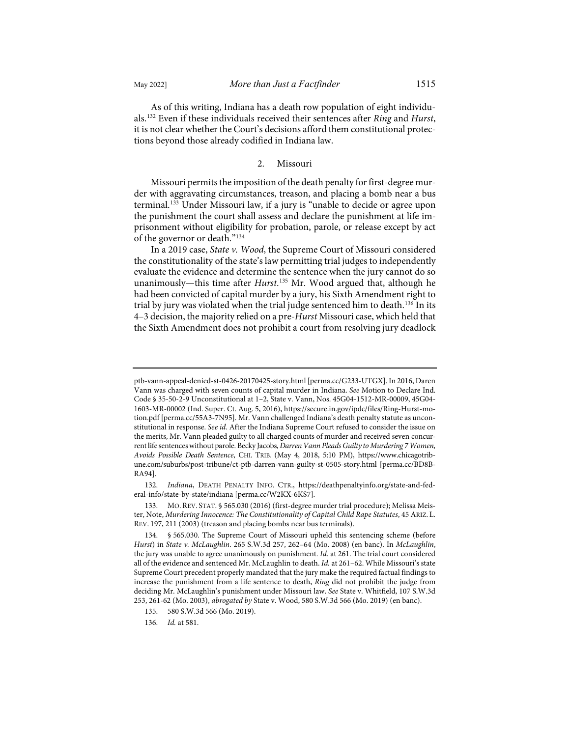As of this writing, Indiana has a death row population of eight individuals.[132](#page-16-0) Even if these individuals received their sentences after *Ring* and *Hurst*, it is not clear whether the Court's decisions afford them constitutional protections beyond those already codified in Indiana law.

# 2. Missouri

Missouri permits the imposition of the death penalty for first-degree murder with aggravating circumstances, treason, and placing a bomb near a bus terminal.<sup>[133](#page-16-1)</sup> Under Missouri law, if a jury is "unable to decide or agree upon the punishment the court shall assess and declare the punishment at life imprisonment without eligibility for probation, parole, or release except by act of the governor or death."[134](#page-16-2)

In a 2019 case, *State v. Wood*, the Supreme Court of Missouri considered the constitutionality of the state's law permitting trial judges to independently evaluate the evidence and determine the sentence when the jury cannot do so unanimously—this time after *Hurst*. [135](#page-16-3) Mr. Wood argued that, although he had been convicted of capital murder by a jury, his Sixth Amendment right to trial by jury was violated when the trial judge sentenced him to death.<sup>[136](#page-16-4)</sup> In its 4–3 decision, the majority relied on a pre-*Hurst* Missouri case, which held that the Sixth Amendment does not prohibit a court from resolving jury deadlock

<span id="page-16-0"></span>132. *Indiana*, DEATH PENALTY INFO. CTR., [https://deathpenaltyinfo.org/state-and-fed](https://deathpenaltyinfo.org/state-and-federal-info/state-by-state/indiana)[eral-info/state-by-state/indiana](https://deathpenaltyinfo.org/state-and-federal-info/state-by-state/indiana) [\[perma.cc/W2KX-6KS7\]](https://perma.cc/W2KX-6KS7).

[ptb-vann-appeal-denied-st-0426-20170425-story.html](https://www.chicagotribune.com/suburbs/post-tribune/ct-ptb-vann-appeal-denied-st-0426-20170425-story.html) [\[perma.cc/G233-UTGX\]](https://perma.cc/G233-UTGX).In 2016, Daren Vann was charged with seven counts of capital murder in Indiana. *See* Motion to Declare Ind. Code § 35-50-2-9 Unconstitutional at 1–2, State v. Vann, Nos. 45G04-1512-MR-00009, 45G04- 1603-MR-00002 (Ind. Super. Ct. Aug. 5, 2016)[, https://secure.in.gov/ipdc/files/Ring-Hurst-mo](https://secure.in.gov/ipdc/files/Ring-Hurst-motion.pdf)[tion.pdf](https://secure.in.gov/ipdc/files/Ring-Hurst-motion.pdf) [\[perma.cc/55A3-7N95\]](https://perma.cc/55A3-7N95). Mr. Vann challenged Indiana's death penalty statute as unconstitutional in response. *See id.* After the Indiana Supreme Court refused to consider the issue on the merits, Mr. Vann pleaded guilty to all charged counts of murder and received seven concurrent life sentences without parole. Becky Jacobs, *Darren Vann Pleads Guilty to Murdering 7 Women, Avoids Possible Death Sentence*, CHI. TRIB. (May 4, 2018, 5:10 PM), [https://www.chicagotrib](https://www.chicagotribune.com/suburbs/post-tribune/ct-ptb-darren-vann-guilty-st-0505-story.html)[une.com/suburbs/post-tribune/ct-ptb-darren-vann-guilty-st-0505-story.html](https://www.chicagotribune.com/suburbs/post-tribune/ct-ptb-darren-vann-guilty-st-0505-story.html) [\[perma.cc/BD8B-](https://perma.cc/BD8B-RA94)[RA94\]](https://perma.cc/BD8B-RA94).

<span id="page-16-1"></span><sup>133.</sup> MO.REV. STAT. § 565.030 (2016) (first-degree murder trial procedure); Melissa Meister, Note, *Murdering Innocence: The Constitutionality of Capital Child Rape Statutes*, 45 ARIZ. L. REV. 197, 211 (2003) (treason and placing bombs near bus terminals).

<span id="page-16-2"></span><sup>134. § 565.030.</sup> The Supreme Court of Missouri upheld this sentencing scheme (before *Hurst*) in *State v. McLaughlin*. 265 S.W.3d 257, 262–64 (Mo. 2008) (en banc). In *McLaughlin*, the jury was unable to agree unanimously on punishment. *Id.* at 261. The trial court considered all of the evidence and sentenced Mr. McLaughlin to death. *Id.* at 261–62. While Missouri's state Supreme Court precedent properly mandated that the jury make the required factual findings to increase the punishment from a life sentence to death, *Ring* did not prohibit the judge from deciding Mr. McLaughlin's punishment under Missouri law. *See* State v. Whitfield, 107 S.W.3d 253, 261-62 (Mo. 2003), *abrogated by* State v. Wood, 580 S.W.3d 566 (Mo. 2019) (en banc).

<span id="page-16-4"></span><span id="page-16-3"></span><sup>135. 580</sup> S.W.3d 566 (Mo. 2019).

<sup>136.</sup> *Id.* at 581.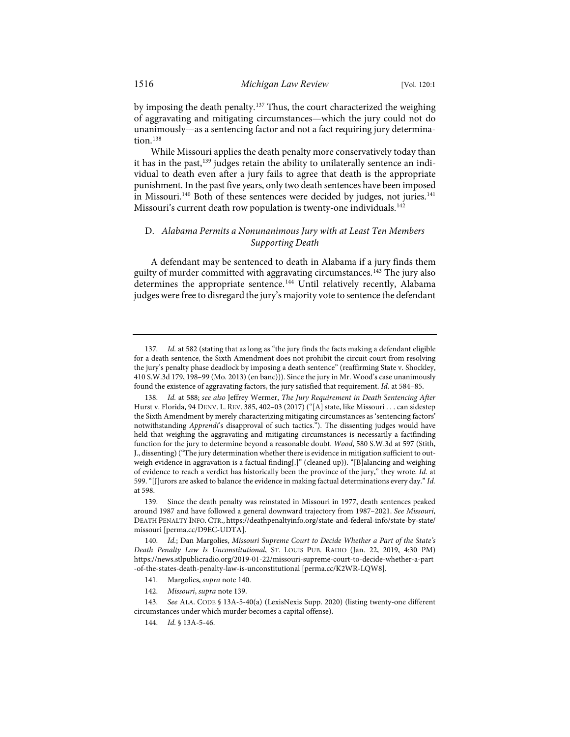by imposing the death penalty.[137](#page-17-2) Thus, the court characterized the weighing of aggravating and mitigating circumstances—which the jury could not do unanimously—as a sentencing factor and not a fact requiring jury determina- $tion.<sup>138</sup>$  $tion.<sup>138</sup>$  $tion.<sup>138</sup>$ 

<span id="page-17-1"></span>While Missouri applies the death penalty more conservatively today than it has in the past,<sup>[139](#page-17-4)</sup> judges retain the ability to unilaterally sentence an individual to death even after a jury fails to agree that death is the appropriate punishment. In the past five years, only two death sentences have been imposed in Missouri.<sup>140</sup> Both of these sentences were decided by judges, not juries.<sup>[141](#page-17-6)</sup> Missouri's current death row population is twenty-one individuals.<sup>[142](#page-17-7)</sup>

# <span id="page-17-0"></span>D. *Alabama Permits a Nonunanimous Jury with at Least Ten Members Supporting Death*

A defendant may be sentenced to death in Alabama if a jury finds them guilty of murder committed with aggravating circumstances.<sup>[143](#page-17-8)</sup> The jury also determines the appropriate sentence.<sup>[144](#page-17-9)</sup> Until relatively recently, Alabama judges were free to disregard the jury's majority vote to sentence the defendant

142. *Missouri*, *supra* not[e 139.](#page-17-1) 

<span id="page-17-2"></span><sup>137.</sup> *Id.* at 582 (stating that as long as "the jury finds the facts making a defendant eligible for a death sentence, the Sixth Amendment does not prohibit the circuit court from resolving the jury's penalty phase deadlock by imposing a death sentence" (reaffirming State v. Shockley, 410 S.W.3d 179, 198–99 (Mo. 2013) (en banc))). Since the jury in Mr. Wood's case unanimously found the existence of aggravating factors, the jury satisfied that requirement. *Id.* at 584–85.

<span id="page-17-3"></span><sup>138.</sup> *Id.* at 588; *see also* Jeffrey Wermer, *The Jury Requirement in Death Sentencing After*  Hurst v. Florida, 94 DENV. L. REV. 385, 402–03 (2017) ("[A] state, like Missouri . . . can sidestep the Sixth Amendment by merely characterizing mitigating circumstances as 'sentencing factors' notwithstanding *Apprendi*'s disapproval of such tactics."). The dissenting judges would have held that weighing the aggravating and mitigating circumstances is necessarily a factfinding function for the jury to determine beyond a reasonable doubt. *Wood*, 580 S.W.3d at 597 (Stith, J., dissenting) ("The jury determination whether there is evidence in mitigation sufficient to outweigh evidence in aggravation is a factual finding[.]" (cleaned up)). "[B]alancing and weighing of evidence to reach a verdict has historically been the province of the jury," they wrote. *Id.* at 599. "[J]urors are asked to balance the evidence in making factual determinations every day." *Id.* at 598.

<span id="page-17-4"></span><sup>139.</sup> Since the death penalty was reinstated in Missouri in 1977, death sentences peaked around 1987 and have followed a general downward trajectory from 1987–2021. *See Missouri*, DEATH PENALTY INFO. CTR., [https://deathpenaltyinfo.org/state-and-federal-info/state-by-state/](https://deathpenaltyinfo.org/state-and-federal-info/state-by-state/missouri) [missouri](https://deathpenaltyinfo.org/state-and-federal-info/state-by-state/missouri) [\[perma.cc/D9EC-UDTA\]](https://perma.cc/D9EC-UDTA).

<span id="page-17-5"></span><sup>140.</sup> *Id.*; Dan Margolies, *Missouri Supreme Court to Decide Whether a Part of the State's Death Penalty Law Is Unconstitutional*, ST. LOUIS PUB. RADIO (Jan. 22, 2019, 4:30 PM) [https://news.stlpublicradio.org/2019-01-22/missouri-supreme-court-to-decide-whether-a-part](https://news.stlpublicradio.org/2019-01-22/missouri-supreme-court-to-decide-whether-a-part%E2%80%8C-of-the-states-death-penalty-law-is-unconstitutional) [-of-the-states-death-penalty-law-is-unconstitutional](https://news.stlpublicradio.org/2019-01-22/missouri-supreme-court-to-decide-whether-a-part%E2%80%8C-of-the-states-death-penalty-law-is-unconstitutional) [\[perma.cc/K2WR-LQW8\]](https://perma.cc/K2WR-LQW8).

<sup>141.</sup> Margolies, *supra* not[e 140.](#page-17-0) 

<span id="page-17-9"></span><span id="page-17-8"></span><span id="page-17-7"></span><span id="page-17-6"></span><sup>143.</sup> *See* ALA. CODE § 13A-5-40(a) (LexisNexis Supp. 2020) (listing twenty-one different circumstances under which murder becomes a capital offense).

<sup>144.</sup> *Id.* § 13A-5-46.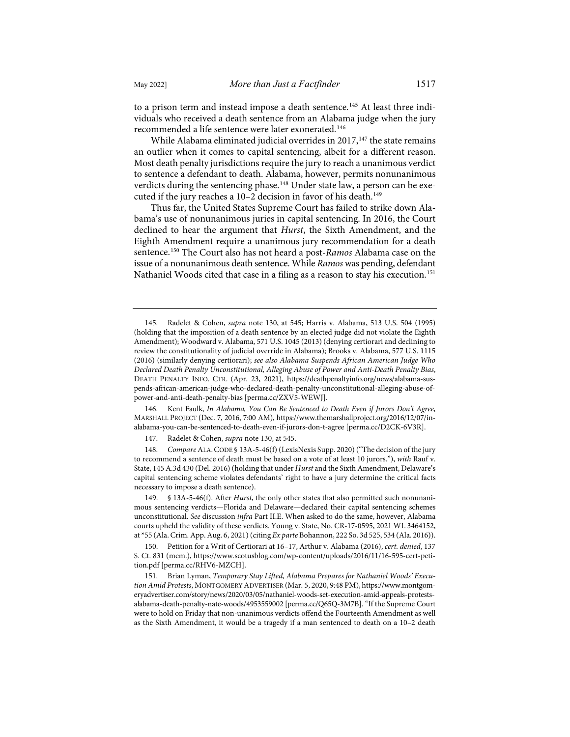to a prison term and instead impose a death sentence.<sup>[145](#page-18-0)</sup> At least three individuals who received a death sentence from an Alabama judge when the jury recommended a life sentence were later exonerated.<sup>[146](#page-18-1)</sup>

While Alabama eliminated judicial overrides in  $2017$ ,<sup>147</sup> the state remains an outlier when it comes to capital sentencing, albeit for a different reason. Most death penalty jurisdictions require the jury to reach a unanimous verdict to sentence a defendant to death. Alabama, however, permits nonunanimous verdicts during the sentencing phase.<sup>[148](#page-18-3)</sup> Under state law, a person can be executed if the jury reaches a  $10-2$  decision in favor of his death.<sup>[149](#page-18-4)</sup>

Thus far, the United States Supreme Court has failed to strike down Alabama's use of nonunanimous juries in capital sentencing. In 2016, the Court declined to hear the argument that *Hurst*, the Sixth Amendment, and the Eighth Amendment require a unanimous jury recommendation for a death sentence.[150](#page-18-5) The Court also has not heard a post-*Ramos* Alabama case on the issue of a nonunanimous death sentence. While *Ramos* was pending, defendant Nathaniel Woods cited that case in a filing as a reason to stay his execution.<sup>[151](#page-18-6)</sup>

<span id="page-18-1"></span>146. Kent Faulk, *In Alabama, You Can Be Sentenced to Death Even if Jurors Don't Agree*, MARSHALL PROJECT (Dec. 7, 2016, 7:00 AM)[, https://www.themarshallproject.org/2016/12/07/in](https://www.themarshallproject.org/2016/12/07/in-alabama-you-can-be-sentenced-to-death-even-if-jurors-don-t-agree)[alabama-you-can-be-sentenced-to-death-even-if-jurors-don-t-agree](https://www.themarshallproject.org/2016/12/07/in-alabama-you-can-be-sentenced-to-death-even-if-jurors-don-t-agree) [\[perma.cc/D2CK-6V3R\]](https://perma.cc/D2CK-6V3R).

147. Radelet & Cohen, *supra* not[e 130,](#page-15-10) at 545.

<span id="page-18-3"></span><span id="page-18-2"></span>148. *Compare* ALA.CODE § 13A-5-46(f) (LexisNexis Supp. 2020) ("The decision of the jury to recommend a sentence of death must be based on a vote of at least 10 jurors."), *with* Rauf v. State, 145 A.3d 430 (Del. 2016) (holding that under *Hurst* and the Sixth Amendment, Delaware's capital sentencing scheme violates defendants' right to have a jury determine the critical facts necessary to impose a death sentence).

<span id="page-18-4"></span>149. § 13A-5-46(f). After *Hurst*, the only other states that also permitted such nonunanimous sentencing verdicts—Florida and Delaware—declared their capital sentencing schemes unconstitutional. *See* discussion *infra* Part II.E. When asked to do the same, however, Alabama courts upheld the validity of these verdicts. Young v. State, No. CR-17-0595, 2021 WL 3464152, at \*55 (Ala. Crim. App. Aug. 6, 2021) (citing *Ex parte* Bohannon, 222 So. 3d 525, 534 (Ala. 2016)).

<span id="page-18-5"></span>150. Petition for a Writ of Certiorari at 16–17, Arthur v. Alabama (2016), *cert. denied*, 137 S. Ct. 831 (mem.), [https://www.scotusblog.com/wp-content/uploads/2016/11/16-595-cert-peti](https://www.scotusblog.com/wp-content/uploads/2016/11/16-595-cert-petition.pdf)[tion.pdf](https://www.scotusblog.com/wp-content/uploads/2016/11/16-595-cert-petition.pdf) [\[perma.cc/RHV6-MZCH\]](https://perma.cc/RHV6-MZCH).

<span id="page-18-6"></span>151. Brian Lyman, *Temporary Stay Lifted, Alabama Prepares for Nathaniel Woods' Execution Amid Protests*, MONTGOMERY ADVERTISER (Mar. 5, 2020, 9:48 PM)[, https://www.montgom](https://www.montgomeryadvertiser.com/story/news/2020/03/05/nathaniel-woods-set-execution-amid-appeals-protests-alabama-death-penalty-nate-woods/4953559002/)[eryadvertiser.com/story/news/2020/03/05/nathaniel-woods-set-execution-amid-appeals-protests](https://www.montgomeryadvertiser.com/story/news/2020/03/05/nathaniel-woods-set-execution-amid-appeals-protests-alabama-death-penalty-nate-woods/4953559002/)[alabama-death-penalty-nate-woods/4953559002](https://www.montgomeryadvertiser.com/story/news/2020/03/05/nathaniel-woods-set-execution-amid-appeals-protests-alabama-death-penalty-nate-woods/4953559002/) [\[perma.cc/Q65Q-3M7B\]](https://perma.cc/Q65Q-3M7B). "If the Supreme Court were to hold on Friday that non-unanimous verdicts offend the Fourteenth Amendment as well as the Sixth Amendment, it would be a tragedy if a man sentenced to death on a 10–2 death

<span id="page-18-0"></span><sup>145.</sup> Radelet & Cohen, *supra* note [130,](#page-15-10) at 545; Harris v. Alabama, 513 U.S. 504 (1995) (holding that the imposition of a death sentence by an elected judge did not violate the Eighth Amendment); Woodward v. Alabama, 571 U.S. 1045 (2013) (denying certiorari and declining to review the constitutionality of judicial override in Alabama); Brooks v. Alabama, 577 U.S. 1115 (2016) (similarly denying certiorari); *see also Alabama Suspends African American Judge Who Declared Death Penalty Unconstitutional, Alleging Abuse of Power and Anti-Death Penalty Bias*, DEATH PENALTY INFO. CTR. (Apr. 23, 2021), [https://deathpenaltyinfo.org/news/alabama-sus](https://deathpenaltyinfo.org/news/alabama-suspends-african-american-judge-who-declared-death-penalty-unconstitutional-alleging-abuse-of-power-and-anti-death-penalty-bias)[pends-african-american-judge-who-declared-death-penalty-unconstitutional-alleging-abuse-of](https://deathpenaltyinfo.org/news/alabama-suspends-african-american-judge-who-declared-death-penalty-unconstitutional-alleging-abuse-of-power-and-anti-death-penalty-bias)[power-and-anti-death-penalty-bias](https://deathpenaltyinfo.org/news/alabama-suspends-african-american-judge-who-declared-death-penalty-unconstitutional-alleging-abuse-of-power-and-anti-death-penalty-bias) [\[perma.cc/ZXV5-WEWJ\]](https://perma.cc/ZXV5-WEWJ).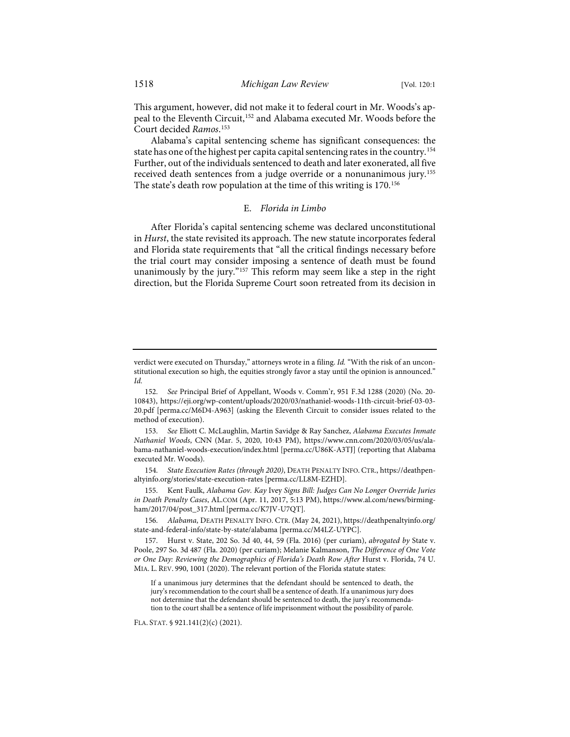This argument, however, did not make it to federal court in Mr. Woods's appeal to the Eleventh Circuit[,152](#page-19-0) and Alabama executed Mr. Woods before the Court decided *Ramos*. [153](#page-19-1)

Alabama's capital sentencing scheme has significant consequences: the state has one of the highest per capita capital sentencing rates in the country.[154](#page-19-2) Further, out of the individuals sentenced to death and later exonerated, all five received death sentences from a judge override or a nonunanimous jury.[155](#page-19-3) The state's death row population at the time of this writing is 170.<sup>[156](#page-19-4)</sup>

## E. *Florida in Limbo*

After Florida's capital sentencing scheme was declared unconstitutional in *Hurst*, the state revisited its approach. The new statute incorporates federal and Florida state requirements that "all the critical findings necessary before the trial court may consider imposing a sentence of death must be found unanimously by the jury."<sup>[157](#page-19-5)</sup> This reform may seem like a step in the right direction, but the Florida Supreme Court soon retreated from its decision in

<span id="page-19-2"></span>154. *State Execution Rates (through 2020)*, DEATH PENALTY INFO. CTR.[, https://deathpen](https://deathpenaltyinfo.org/stories/state-execution-rates)[altyinfo.org/stories/state-execution-rates](https://deathpenaltyinfo.org/stories/state-execution-rates) [\[perma.cc/LL8M-EZHD\]](https://perma.cc/LL8M-EZHD).

<span id="page-19-3"></span>155. Kent Faulk, *Alabama Gov. Kay* Ivey *Signs Bill: Judges Can No Longer Override Juries in Death Penalty Cases*, AL.COM (Apr. 11, 2017, 5:13 PM), [https://www.al.com/news/birming](https://www.al.com/news/birmingham/2017/04/post_317.html)[ham/2017/04/post\\_317.html](https://www.al.com/news/birmingham/2017/04/post_317.html) [\[perma.cc/K7JV-U7QT\]](https://perma.cc/K7JV-U7QT).

<span id="page-19-4"></span>156. *Alabama*, DEATH PENALTY INFO. CTR. (May 24, 2021), [https://deathpenaltyinfo.org/](https://deathpenaltyinfo.org/%E2%80%8Cstate-and-federal-info/state-by-state/alabama) [state-and-federal-info/state-by-state/alabama](https://deathpenaltyinfo.org/%E2%80%8Cstate-and-federal-info/state-by-state/alabama) [\[perma.cc/M4LZ-UYPC\]](https://perma.cc/M4LZ-UYPC).

<span id="page-19-5"></span>157. Hurst v. State, 202 So. 3d 40, 44, 59 (Fla. 2016) (per curiam), *abrogated by* State v. Poole, 297 So. 3d 487 (Fla. 2020) (per curiam); Melanie Kalmanson, *The Difference of One Vote or One Day: Reviewing the Demographics of Florida's Death Row After* Hurst v. Florida, 74 U. MIA. L. REV. 990, 1001 (2020). The relevant portion of the Florida statute states:

If a unanimous jury determines that the defendant should be sentenced to death, the jury's recommendation to the court shall be a sentence of death. If a unanimous jury does not determine that the defendant should be sentenced to death, the jury's recommendation to the court shall be a sentence of life imprisonment without the possibility of parole.

FLA. STAT. § 921.141(2)(c) (2021).

verdict were executed on Thursday," attorneys wrote in a filing. *Id.* "With the risk of an unconstitutional execution so high, the equities strongly favor a stay until the opinion is announced." *Id.*

<span id="page-19-0"></span><sup>152.</sup> *See* Principal Brief of Appellant, Woods v. Comm'r, 951 F.3d 1288 (2020) (No. 20- 10843), [https://eji.org/wp-content/uploads/2020/03/nathaniel-woods-11th-circuit-brief-03-03-](https://eji.org/wp-content/uploads/2020/03/nathaniel-woods-11th-circuit-brief-03-03-20.pdf) [20.pdf](https://eji.org/wp-content/uploads/2020/03/nathaniel-woods-11th-circuit-brief-03-03-20.pdf) [\[perma.cc/M6D4-A963\]](https://perma.cc/M6D4-A963) (asking the Eleventh Circuit to consider issues related to the method of execution).

<span id="page-19-1"></span><sup>153.</sup> *See* Eliott C. McLaughlin, Martin Savidge & Ray Sanchez, *Alabama Executes Inmate Nathaniel Woods*, CNN (Mar. 5, 2020, 10:43 PM), [https://www.cnn.com/2020/03/05/us/ala](https://www.cnn.com/2020/03/05/us/alabama-nathaniel-woods-execution/index.html)[bama-nathaniel-woods-execution/index.html](https://www.cnn.com/2020/03/05/us/alabama-nathaniel-woods-execution/index.html) [\[perma.cc/U86K-A3TJ\]](https://perma.cc/U86K-A3TJ) (reporting that Alabama executed Mr. Woods).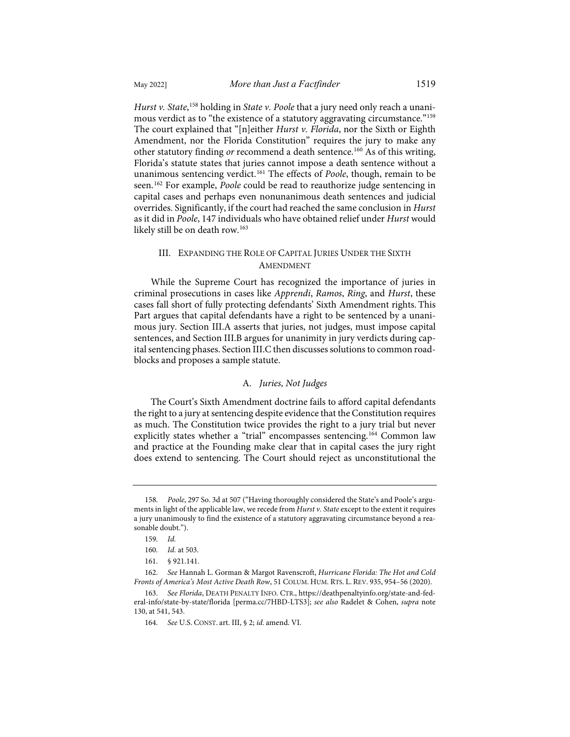likely still be on death row.<sup>163</sup>

*Hurst v. State*, [158](#page-20-0) holding in *State v. Poole* that a jury need only reach a unani-mous verdict as to "the existence of a statutory aggravating circumstance."<sup>[159](#page-20-1)</sup> The court explained that "[n]either *Hurst v. Florida*, nor the Sixth or Eighth Amendment, nor the Florida Constitution" requires the jury to make any other statutory finding *or* recommend a death sentence.[160](#page-20-2) As of this writing, Florida's statute states that juries cannot impose a death sentence without a unanimous sentencing verdict.<sup>[161](#page-20-3)</sup> The effects of *Poole*, though, remain to be seen.[162](#page-20-4) For example, *Poole* could be read to reauthorize judge sentencing in capital cases and perhaps even nonunanimous death sentences and judicial overrides. Significantly, if the court had reached the same conclusion in *Hurst* as it did in *Poole*, 147 individuals who have obtained relief under *Hurst* would

# III. EXPANDING THE ROLE OF CAPITAL JURIES UNDER THE SIXTH AMENDMENT

While the Supreme Court has recognized the importance of juries in criminal prosecutions in cases like *Apprendi*, *Ramos*, *Ring*, and *Hurst*, these cases fall short of fully protecting defendants' Sixth Amendment rights. This Part argues that capital defendants have a right to be sentenced by a unanimous jury. Section III.A asserts that juries, not judges, must impose capital sentences, and Section III.B argues for unanimity in jury verdicts during capital sentencing phases. Section III.C then discusses solutions to common roadblocks and proposes a sample statute.

# A. *Juries, Not Judges*

The Court's Sixth Amendment doctrine fails to afford capital defendants the right to a jury at sentencing despite evidence that the Constitution requires as much. The Constitution twice provides the right to a jury trial but never explicitly states whether a "trial" encompasses sentencing.<sup>[164](#page-20-6)</sup> Common law and practice at the Founding make clear that in capital cases the jury right does extend to sentencing. The Court should reject as unconstitutional the

<span id="page-20-0"></span><sup>158.</sup> *Poole*, 297 So. 3d at 507 ("Having thoroughly considered the State's and Poole's arguments in light of the applicable law, we recede from *Hurst v. State* except to the extent it requires a jury unanimously to find the existence of a statutory aggravating circumstance beyond a reasonable doubt.").

<sup>159.</sup> *Id.*

<sup>160.</sup> *Id.* at 503.

<sup>161. § 921.141.</sup>

<span id="page-20-4"></span><span id="page-20-3"></span><span id="page-20-2"></span><span id="page-20-1"></span><sup>162.</sup> *See* Hannah L. Gorman & Margot Ravenscroft, *Hurricane Florida: The Hot and Cold Fronts of America's Most Active Death Row*, 51 COLUM. HUM. RTS. L. REV. 935, 954–56 (2020).

<span id="page-20-6"></span><span id="page-20-5"></span><sup>163.</sup> *See Florida*, DEATH PENALTY INFO. CTR., [https://deathpenaltyinfo.org/state-and-fed](https://deathpenaltyinfo.org/state-and-federal-info/state-by-state/florida)[eral-info/state-by-state/florida](https://deathpenaltyinfo.org/state-and-federal-info/state-by-state/florida) [\[perma.cc/7HBD-LTS3\]](https://perma.cc/7HBD-LTS3); *see also* Radelet & Cohen, *supra* note [130,](#page-15-10) at 541, 543.

<sup>164.</sup> *See* U.S. CONST. art. III, § 2; *id.* amend. VI.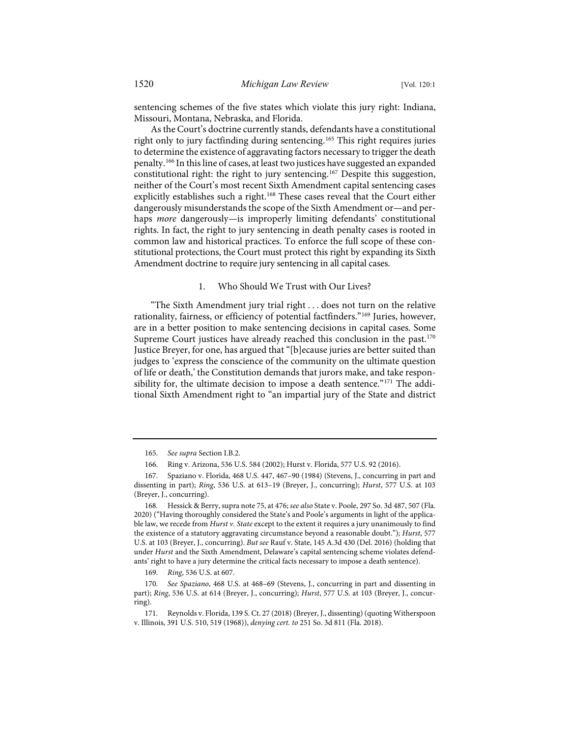sentencing schemes of the five states which violate this jury right: Indiana, Missouri, Montana, Nebraska, and Florida.

As the Court's doctrine currently stands, defendants have a constitutional right only to jury factfinding during sentencing.<sup>[165](#page-21-0)</sup> This right requires juries to determine the existence of aggravating factors necessary to trigger the death penalty.[166](#page-21-1) In this line of cases, at least two justices have suggested an expanded constitutional right: the right to jury sentencing.[167](#page-21-2) Despite this suggestion, neither of the Court's most recent Sixth Amendment capital sentencing cases explicitly establishes such a right.<sup>[168](#page-21-3)</sup> These cases reveal that the Court either dangerously misunderstands the scope of the Sixth Amendment or—and perhaps *more* dangerously—is improperly limiting defendants' constitutional rights. In fact, the right to jury sentencing in death penalty cases is rooted in common law and historical practices. To enforce the full scope of these constitutional protections, the Court must protect this right by expanding its Sixth Amendment doctrine to require jury sentencing in all capital cases.

#### 1. Who Should We Trust with Our Lives?

"The Sixth Amendment jury trial right . . . does not turn on the relative rationality, fairness, or efficiency of potential factfinders."[169](#page-21-4) Juries, however, are in a better position to make sentencing decisions in capital cases. Some Supreme Court justices have already reached this conclusion in the past.<sup>[170](#page-21-5)</sup> Justice Breyer, for one, has argued that "[b]ecause juries are better suited than judges to 'express the conscience of the community on the ultimate question of life or death,' the Constitution demands that jurors make, and take respon-sibility for, the ultimate decision to impose a death sentence."<sup>[171](#page-21-6)</sup> The additional Sixth Amendment right to "an impartial jury of the State and district

169. *Ring*, 536 U.S. at 607.

<sup>165.</sup> *See supra* Section I.B.2.

<sup>166.</sup> Ring v. Arizona, 536 U.S. 584 (2002); Hurst v. Florida, 577 U.S. 92 (2016).

<span id="page-21-2"></span><span id="page-21-1"></span><span id="page-21-0"></span><sup>167.</sup> Spaziano v. Florida, 468 U.S. 447, 467–90 (1984) (Stevens, J., concurring in part and dissenting in part); *Ring*, 536 U.S. at 613–19 (Breyer, J., concurring); *Hurst*, 577 U.S. at 103 (Breyer, J., concurring).

<span id="page-21-3"></span><sup>168.</sup> Hessick & Berry, supra not[e 75,](#page-10-10) at 476; *see also* State v. Poole, 297 So. 3d 487, 507 (Fla. 2020) ("Having thoroughly considered the State's and Poole's arguments in light of the applicable law, we recede from *Hurst v. State* except to the extent it requires a jury unanimously to find the existence of a statutory aggravating circumstance beyond a reasonable doubt."); *Hurst*, 577 U.S. at 103 (Breyer, J., concurring). *But see* Rauf v. State, 145 A.3d 430 (Del. 2016) (holding that under *Hurst* and the Sixth Amendment, Delaware's capital sentencing scheme violates defendants' right to have a jury determine the critical facts necessary to impose a death sentence).

<span id="page-21-5"></span><span id="page-21-4"></span><sup>170.</sup> *See Spaziano*, 468 U.S. at 468–69 (Stevens, J., concurring in part and dissenting in part); *Ring*, 536 U.S. at 614 (Breyer, J., concurring); *Hurst*, 577 U.S. at 103 (Breyer, J., concurring).

<span id="page-21-6"></span><sup>171.</sup> Reynolds v. Florida, 139 S. Ct. 27 (2018) (Breyer, J., dissenting) (quoting Witherspoon v. Illinois, 391 U.S. 510, 519 (1968)), *denying cert. to* 251 So. 3d 811 (Fla. 2018).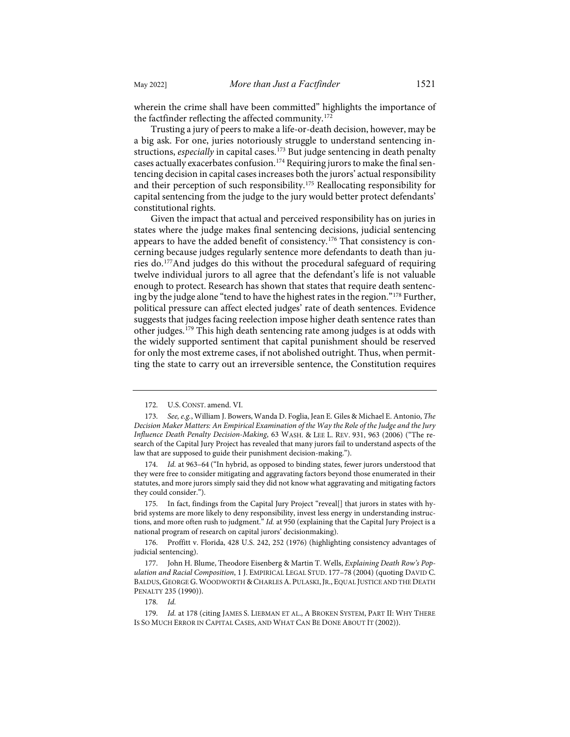wherein the crime shall have been committed" highlights the importance of the factfinder reflecting the affected community.<sup>[172](#page-22-0)</sup>

Trusting a jury of peers to make a life-or-death decision, however, may be a big ask. For one, juries notoriously struggle to understand sentencing instructions, *especially* in capital cases.<sup>[173](#page-22-1)</sup> But judge sentencing in death penalty cases actually exacerbates confusion.[174](#page-22-2) Requiring jurors to make the final sentencing decision in capital cases increases both the jurors' actual responsibility and their perception of such responsibility.[175](#page-22-3) Reallocating responsibility for capital sentencing from the judge to the jury would better protect defendants' constitutional rights.

Given the impact that actual and perceived responsibility has on juries in states where the judge makes final sentencing decisions, judicial sentencing appears to have the added benefit of consistency.[176](#page-22-4) That consistency is concerning because judges regularly sentence more defendants to death than juries do.[177A](#page-22-5)nd judges do this without the procedural safeguard of requiring twelve individual jurors to all agree that the defendant's life is not valuable enough to protect. Research has shown that states that require death sentencing by the judge alone "tend to have the highest rates in the region."[178](#page-22-6) Further, political pressure can affect elected judges' rate of death sentences. Evidence suggests that judges facing reelection impose higher death sentence rates than other judges.[179](#page-22-7) This high death sentencing rate among judges is at odds with the widely supported sentiment that capital punishment should be reserved for only the most extreme cases, if not abolished outright. Thus, when permitting the state to carry out an irreversible sentence, the Constitution requires

<sup>172.</sup> U.S. CONST. amend. VI.

<span id="page-22-1"></span><span id="page-22-0"></span><sup>173.</sup> *See, e.g.*, William J. Bowers, Wanda D. Foglia, Jean E. Giles & Michael E. Antonio, *The Decision Maker Matters: An Empirical Examination of the Way the Role of the Judge and the Jury Influence Death Penalty Decision-Making*, 63 WASH. & LEE L. REV. 931, 963 (2006) ("The research of the Capital Jury Project has revealed that many jurors fail to understand aspects of the law that are supposed to guide their punishment decision-making.").

<span id="page-22-2"></span><sup>174.</sup> *Id.* at 963–64 ("In hybrid, as opposed to binding states, fewer jurors understood that they were free to consider mitigating and aggravating factors beyond those enumerated in their statutes, and more jurors simply said they did not know what aggravating and mitigating factors they could consider.").

<span id="page-22-3"></span><sup>175.</sup> In fact, findings from the Capital Jury Project "reveal[] that jurors in states with hybrid systems are more likely to deny responsibility, invest less energy in understanding instructions, and more often rush to judgment." *Id.* at 950 (explaining that the Capital Jury Project is a national program of research on capital jurors' decisionmaking).

<span id="page-22-4"></span><sup>176.</sup> Proffitt v. Florida, 428 U.S. 242, 252 (1976) (highlighting consistency advantages of judicial sentencing).

<span id="page-22-5"></span><sup>177.</sup> John H. Blume, Theodore Eisenberg & Martin T. Wells, *Explaining Death Row's Population and Racial Composition*, 1 J. EMPIRICAL LEGAL STUD. 177–78 (2004) (quoting DAVID C. BALDUS, GEORGE G. WOODWORTH & CHARLES A. PULASKI, JR., EQUAL JUSTICE AND THE DEATH PENALTY 235 (1990)).

<sup>178.</sup> *Id.*

<span id="page-22-7"></span><span id="page-22-6"></span><sup>179.</sup> *Id.* at 178 (citing JAMES S. LIEBMAN ET AL., A BROKEN SYSTEM, PART II: WHY THERE IS SO MUCH ERROR IN CAPITAL CASES, AND WHAT CAN BE DONE ABOUT IT (2002)).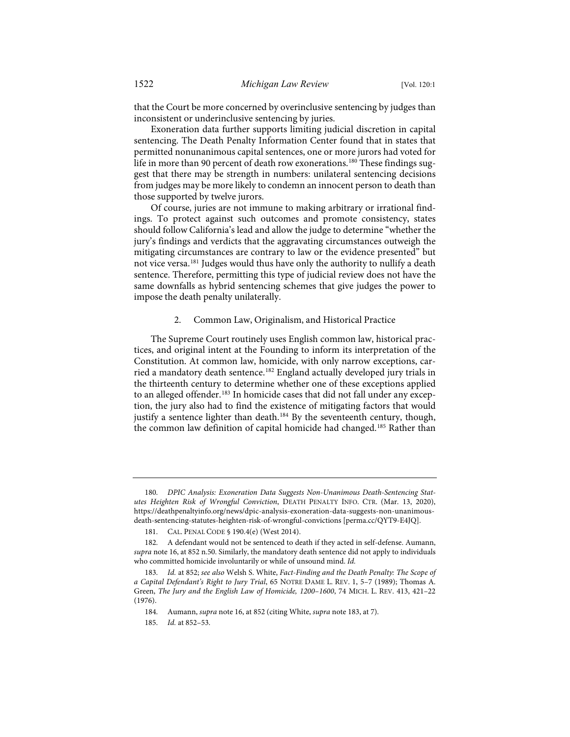that the Court be more concerned by overinclusive sentencing by judges than inconsistent or underinclusive sentencing by juries.

Exoneration data further supports limiting judicial discretion in capital sentencing. The Death Penalty Information Center found that in states that permitted nonunanimous capital sentences, one or more jurors had voted for life in more than 90 percent of death row exonerations.<sup>[180](#page-23-1)</sup> These findings suggest that there may be strength in numbers: unilateral sentencing decisions from judges may be more likely to condemn an innocent person to death than those supported by twelve jurors.

Of course, juries are not immune to making arbitrary or irrational findings. To protect against such outcomes and promote consistency, states should follow California's lead and allow the judge to determine "whether the jury's findings and verdicts that the aggravating circumstances outweigh the mitigating circumstances are contrary to law or the evidence presented" but not vice versa[.181](#page-23-2) Judges would thus have only the authority to nullify a death sentence. Therefore, permitting this type of judicial review does not have the same downfalls as hybrid sentencing schemes that give judges the power to impose the death penalty unilaterally.

#### <span id="page-23-0"></span>2. Common Law, Originalism, and Historical Practice

The Supreme Court routinely uses English common law, historical practices, and original intent at the Founding to inform its interpretation of the Constitution. At common law, homicide, with only narrow exceptions, carried a mandatory death sentence.[182](#page-23-3) England actually developed jury trials in the thirteenth century to determine whether one of these exceptions applied to an alleged offender.<sup>[183](#page-23-4)</sup> In homicide cases that did not fall under any exception, the jury also had to find the existence of mitigating factors that would justify a sentence lighter than death.<sup>[184](#page-23-5)</sup> By the seventeenth century, though, the common law definition of capital homicide had changed.[185](#page-23-6) Rather than

<span id="page-23-1"></span><sup>180.</sup> *DPIC Analysis: Exoneration Data Suggests Non-Unanimous Death-Sentencing Statutes Heighten Risk of Wrongful Conviction*, DEATH PENALTY INFO. CTR. (Mar. 13, 2020), [https://deathpenaltyinfo.org/news/dpic-analysis-exoneration-data-suggests-non-unanimous](https://deathpenaltyinfo.org/news/dpic-analysis-exoneration-data-suggests-non-unanimous-death-sentencing-statutes-heighten-risk-of-wrongful-convictions)[death-sentencing-statutes-heighten-risk-of-wrongful-convictions](https://deathpenaltyinfo.org/news/dpic-analysis-exoneration-data-suggests-non-unanimous-death-sentencing-statutes-heighten-risk-of-wrongful-convictions) [\[perma.cc/QYT9-E4JQ\]](https://perma.cc/QYT9-E4JQ).

<sup>181.</sup> CAL. PENAL CODE § 190.4(e) (West 2014).

<span id="page-23-3"></span><span id="page-23-2"></span><sup>182.</sup> A defendant would not be sentenced to death if they acted in self-defense. Aumann, *supra* not[e 16,](#page-3-5) at 852 n.50. Similarly, the mandatory death sentence did not apply to individuals who committed homicide involuntarily or while of unsound mind. *Id.*

<span id="page-23-6"></span><span id="page-23-5"></span><span id="page-23-4"></span><sup>183.</sup> *Id.* at 852; *see also* Welsh S. White, *Fact-Finding and the Death Penalty: The Scope of a Capital Defendant's Right to Jury Trial*, 65 NOTRE DAME L. REV. 1, 5–7 (1989); Thomas A. Green, *The Jury and the English Law of Homicide, 1200*–*1600*, 74 MICH. L. REV. 413, 421–22 (1976).

<sup>184.</sup> Aumann, *supra* not[e 16,](#page-3-5) at 852 (citing White, *supra* not[e 183,](#page-23-0) at 7).

<sup>185.</sup> *Id.* at 852–53.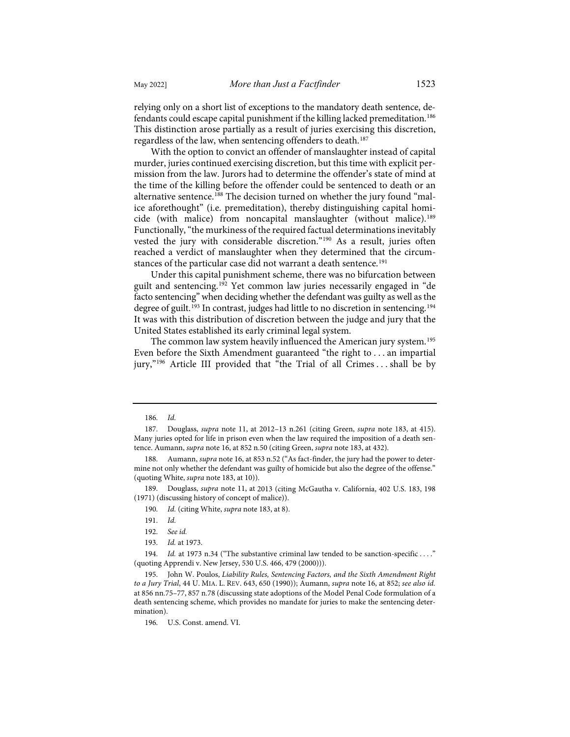relying only on a short list of exceptions to the mandatory death sentence, defendants could escape capital punishment if the killing lacked premeditation.[186](#page-24-0) This distinction arose partially as a result of juries exercising this discretion, regardless of the law, when sentencing offenders to death.<sup>[187](#page-24-1)</sup>

With the option to convict an offender of manslaughter instead of capital murder, juries continued exercising discretion, but this time with explicit permission from the law. Jurors had to determine the offender's state of mind at the time of the killing before the offender could be sentenced to death or an alternative sentence.<sup>188</sup> The decision turned on whether the jury found "malice aforethought" (i.e. premeditation), thereby distinguishing capital homi-cide (with malice) from noncapital manslaughter (without malice).<sup>[189](#page-24-3)</sup> Functionally, "the murkiness of the required factual determinations inevitably vested the jury with considerable discretion."[190](#page-24-4) As a result, juries often reached a verdict of manslaughter when they determined that the circum-stances of the particular case did not warrant a death sentence.<sup>[191](#page-24-5)</sup>

Under this capital punishment scheme, there was no bifurcation between guilt and sentencing.[192](#page-24-6) Yet common law juries necessarily engaged in "de facto sentencing" when deciding whether the defendant was guilty as well as the degree of guilt.<sup>[193](#page-24-7)</sup> In contrast, judges had little to no discretion in sentencing.<sup>[194](#page-24-8)</sup> It was with this distribution of discretion between the judge and jury that the United States established its early criminal legal system.

The common law system heavily influenced the American jury system.<sup>[195](#page-24-9)</sup> Even before the Sixth Amendment guaranteed "the right to . . . an impartial jury,"<sup>[196](#page-24-10)</sup> Article III provided that "the Trial of all Crimes ... shall be by

<span id="page-24-11"></span><sup>186.</sup> *Id.*

<span id="page-24-1"></span><span id="page-24-0"></span><sup>187.</sup> Douglass, *supra* note [11,](#page-2-12) at 2012–13 n.261 (citing Green, *supra* note [183,](#page-23-0) at 415). Many juries opted for life in prison even when the law required the imposition of a death sentence. Aumann, *supra* not[e 16,](#page-3-5) at 852 n.50 (citing Green, *supra* not[e 183,](#page-23-0) at 432).

<span id="page-24-2"></span><sup>188.</sup> Aumann, *supra* not[e 16,](#page-3-5) at 853 n.52 ("As fact-finder, the jury had the power to determine not only whether the defendant was guilty of homicide but also the degree of the offense." (quoting White, *supra* not[e 183,](#page-23-0) at 10)).

<span id="page-24-5"></span><span id="page-24-4"></span><span id="page-24-3"></span><sup>189.</sup> Douglass, *supra* note [11,](#page-2-12) at 2013 (citing McGautha v. California, 402 U.S. 183, 198 (1971) (discussing history of concept of malice)).

<sup>190.</sup> *Id.* (citing White, *supra* not[e 183,](#page-23-0) at 8).

<sup>191.</sup> *Id.*

<sup>192.</sup> *See id.*

<sup>193.</sup> *Id.* at 1973.

<span id="page-24-8"></span><span id="page-24-7"></span><span id="page-24-6"></span><sup>194.</sup> *Id.* at 1973 n.34 ("The substantive criminal law tended to be sanction-specific ...." (quoting Apprendi v. New Jersey, 530 U.S. 466, 479 (2000))).

<span id="page-24-10"></span><span id="page-24-9"></span><sup>195.</sup> John W. Poulos, *Liability Rules, Sentencing Factors, and the Sixth Amendment Right to a Jury Trial*, 44 U. MIA. L. REV. 643, 650 (1990)); Aumann, *supra* note [16,](#page-3-5) at 852; *see also id.* at 856 nn.75–77, 857 n.78 (discussing state adoptions of the Model Penal Code formulation of a death sentencing scheme, which provides no mandate for juries to make the sentencing determination).

<sup>196.</sup> U.S. Const. amend. VI.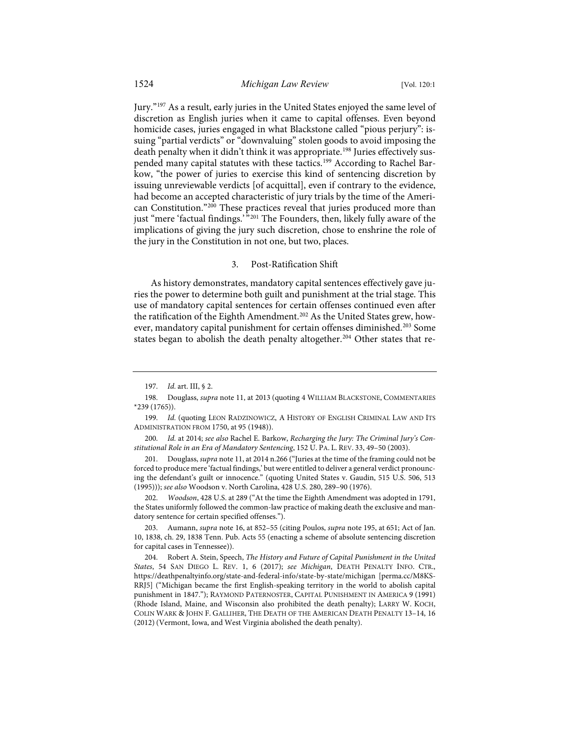Jury."[197](#page-25-0) As a result, early juries in the United States enjoyed the same level of discretion as English juries when it came to capital offenses. Even beyond homicide cases, juries engaged in what Blackstone called "pious perjury": issuing "partial verdicts" or "downvaluing" stolen goods to avoid imposing the death penalty when it didn't think it was appropriate.<sup>[198](#page-25-1)</sup> Juries effectively sus-pended many capital statutes with these tactics.<sup>[199](#page-25-2)</sup> According to Rachel Barkow, "the power of juries to exercise this kind of sentencing discretion by issuing unreviewable verdicts [of acquittal], even if contrary to the evidence, had become an accepted characteristic of jury trials by the time of the American Constitution."[200](#page-25-3) These practices reveal that juries produced more than just "mere 'factual findings.'<sup>"[201](#page-25-4)</sup> The Founders, then, likely fully aware of the implications of giving the jury such discretion, chose to enshrine the role of the jury in the Constitution in not one, but two, places.

#### 3. Post-Ratification Shift

As history demonstrates, mandatory capital sentences effectively gave juries the power to determine both guilt and punishment at the trial stage. This use of mandatory capital sentences for certain offenses continued even after the ratification of the Eighth Amendment.<sup>[202](#page-25-5)</sup> As the United States grew, how-ever, mandatory capital punishment for certain offenses diminished.<sup>[203](#page-25-6)</sup> Some states began to abolish the death penalty altogether.<sup>[204](#page-25-7)</sup> Other states that re-

<span id="page-25-5"></span>202. *Woodson*, 428 U.S. at 289 ("At the time the Eighth Amendment was adopted in 1791, the States uniformly followed the common-law practice of making death the exclusive and mandatory sentence for certain specified offenses.").

<span id="page-25-6"></span>203. Aumann, *supra* note [16,](#page-3-5) at 852–55 (citing Poulos, *supra* not[e 195,](#page-24-11) at 651; Act of Jan. 10, 1838, ch. 29, 1838 Tenn. Pub. Acts 55 (enacting a scheme of absolute sentencing discretion for capital cases in Tennessee)).

<span id="page-25-7"></span>204. Robert A. Stein, Speech, *The History and Future of Capital Punishment in the United States*, 54 SAN DIEGO L. REV. 1, 6 (2017); *see Michigan*, DEATH PENALTY INFO. CTR., [https://deathpenaltyinfo.org/state-and-federal-info/state-by-state/michigan](https://deathpenaltyinfo.org/state-and-federal-info/state-by-state/michigan/) [\[perma.cc/M8KS-](https://perma.cc/M8KS-RRJ5)[RRJ5\]](https://perma.cc/M8KS-RRJ5) ("Michigan became the first English-speaking territory in the world to abolish capital punishment in 1847."); RAYMOND PATERNOSTER, CAPITAL PUNISHMENT IN AMERICA 9 (1991) (Rhode Island, Maine, and Wisconsin also prohibited the death penalty); LARRY W. KOCH, COLIN WARK & JOHN F. GALLIHER, THE DEATH OF THE AMERICAN DEATH PENALTY 13–14, 16 (2012) (Vermont, Iowa, and West Virginia abolished the death penalty).

<sup>197.</sup> *Id.* art. III, § 2.

<span id="page-25-1"></span><span id="page-25-0"></span><sup>198.</sup> Douglass, *supra* not[e 11,](#page-2-12) at 2013 (quoting 4 WILLIAM BLACKSTONE, COMMENTARIES \*239 (1765)).

<span id="page-25-2"></span><sup>199.</sup> Id. (quoting LEON RADZINOWICZ, A HISTORY OF ENGLISH CRIMINAL LAW AND ITS ADMINISTRATION FROM 1750, at 95 (1948)).

<span id="page-25-3"></span><sup>200.</sup> *Id.* at 2014; *see also* Rachel E. Barkow, *Recharging the Jury: The Criminal Jury's Constitutional Role in an Era of Mandatory Sentencing*, 152 U. PA. L. REV. 33, 49–50 (2003).

<span id="page-25-4"></span><sup>201.</sup> Douglass, *supra* not[e 11,](#page-2-12) at 2014 n.266 ("Juries at the time of the framing could not be forced to produce mere 'factual findings,' but were entitled to deliver a general verdict pronouncing the defendant's guilt or innocence." (quoting United States v. Gaudin, 515 U.S. 506, 513 (1995))); *see also* Woodson v. North Carolina, 428 U.S. 280, 289–90 (1976).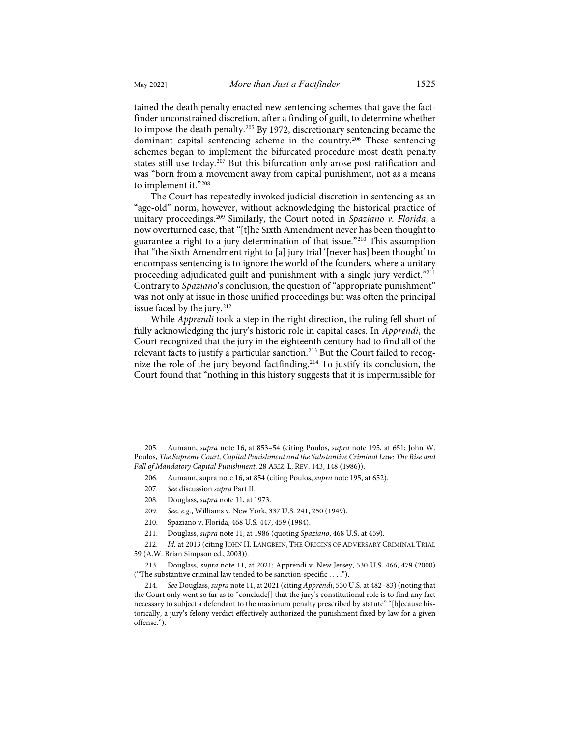tained the death penalty enacted new sentencing schemes that gave the factfinder unconstrained discretion, after a finding of guilt, to determine whether to impose the death penalty.[205](#page-26-0) By 1972, discretionary sentencing became the dominant capital sentencing scheme in the country.<sup>[206](#page-26-1)</sup> These sentencing schemes began to implement the bifurcated procedure most death penalty states still use today.[207](#page-26-2) But this bifurcation only arose post-ratification and was "born from a movement away from capital punishment, not as a means to implement it.["208](#page-26-3)

The Court has repeatedly invoked judicial discretion in sentencing as an "age-old" norm, however, without acknowledging the historical practice of unitary proceedings.[209](#page-26-4) Similarly, the Court noted in *Spaziano v. Florida*, a now overturned case, that "[t]he Sixth Amendment never has been thought to guarantee a right to a jury determination of that issue."[210](#page-26-5) This assumption that "the Sixth Amendment right to [a] jury trial '[never has] been thought' to encompass sentencing is to ignore the world of the founders, where a unitary proceeding adjudicated guilt and punishment with a single jury verdict."<sup>[211](#page-26-6)</sup> Contrary to *Spaziano*'s conclusion, the question of "appropriate punishment" was not only at issue in those unified proceedings but was often the principal issue faced by the jury.<sup>[212](#page-26-7)</sup>

While *Apprendi* took a step in the right direction, the ruling fell short of fully acknowledging the jury's historic role in capital cases. In *Apprendi*, the Court recognized that the jury in the eighteenth century had to find all of the relevant facts to justify a particular sanction.<sup>213</sup> But the Court failed to recognize the role of the jury beyond factfinding.[214](#page-26-9) To justify its conclusion, the Court found that "nothing in this history suggests that it is impermissible for

206. Aumann, supra not[e 16,](#page-3-5) at 854 (citing Poulos, *supra* not[e 195,](#page-24-11) at 652).

- 209. *See, e.g.*, Williams v. New York, 337 U.S. 241, 250 (1949).
- 210. Spaziano v. Florida, 468 U.S. 447, 459 (1984).
- 211. Douglass, *supra* note [11,](#page-2-12) at 1986 (quoting *Spaziano*, 468 U.S. at 459).

<span id="page-26-7"></span><span id="page-26-6"></span><span id="page-26-5"></span><span id="page-26-4"></span><span id="page-26-3"></span>212. *Id.* at 2013 (citing JOHN H. LANGBEIN, THE ORIGINS OF ADVERSARY CRIMINAL TRIAL 59 (A.W. Brian Simpson ed., 2003)).

<span id="page-26-8"></span>213. Douglass, *supra* not[e 11,](#page-2-12) at 2021; Apprendi v. New Jersey, 530 U.S. 466, 479 (2000) ("The substantive criminal law tended to be sanction-specific . . . .").

<span id="page-26-9"></span>214. *See* Douglass, *supra* not[e 11,](#page-2-12) at 2021 (citing *Apprendi*, 530 U.S. at 482–83) (noting that the Court only went so far as to "conclude[] that the jury's constitutional role is to find any fact necessary to subject a defendant to the maximum penalty prescribed by statute" "[b]ecause historically, a jury's felony verdict effectively authorized the punishment fixed by law for a given offense.").

<span id="page-26-2"></span><span id="page-26-1"></span><span id="page-26-0"></span><sup>205.</sup> Aumann, *supra* note [16,](#page-3-5) at 853–54 (citing Poulos, *supra* note [195,](#page-24-11) at 651; John W. Poulos, *The Supreme Court, Capital Punishment and the Substantive Criminal Law: The Rise and Fall of Mandatory Capital Punishment*, 28 ARIZ. L. REV. 143, 148 (1986)).

<sup>207.</sup> *See* discussion *supra* Part II.

<sup>208.</sup> Douglass, *supra* not[e 11,](#page-2-12) at 1973.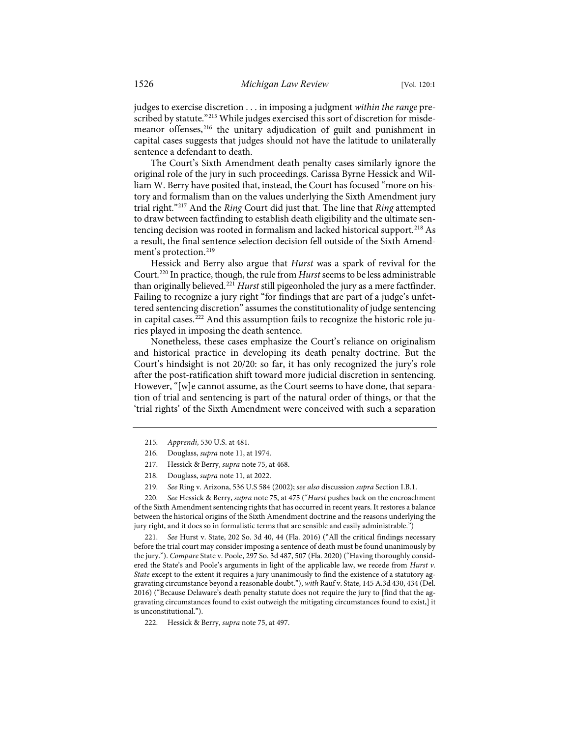judges to exercise discretion . . . in imposing a judgment *within the range* pre-scribed by statute."<sup>[215](#page-27-0)</sup> While judges exercised this sort of discretion for misdemeanor offenses,[216](#page-27-1) the unitary adjudication of guilt and punishment in capital cases suggests that judges should not have the latitude to unilaterally sentence a defendant to death.

The Court's Sixth Amendment death penalty cases similarly ignore the original role of the jury in such proceedings. Carissa Byrne Hessick and William W. Berry have posited that, instead, the Court has focused "more on history and formalism than on the values underlying the Sixth Amendment jury trial right.["217](#page-27-2) And the *Ring* Court did just that. The line that *Ring* attempted to draw between factfinding to establish death eligibility and the ultimate sen-tencing decision was rooted in formalism and lacked historical support.<sup>[218](#page-27-3)</sup> As a result, the final sentence selection decision fell outside of the Sixth Amend-ment's protection.<sup>[219](#page-27-4)</sup>

Hessick and Berry also argue that *Hurst* was a spark of revival for the Court.[220](#page-27-5) In practice, though, the rule from *Hurst*seems to be less administrable than originally believed.[221](#page-27-6) *Hurst* still pigeonholed the jury as a mere factfinder. Failing to recognize a jury right "for findings that are part of a judge's unfettered sentencing discretion" assumes the constitutionality of judge sentencing in capital cases.<sup>[222](#page-27-7)</sup> And this assumption fails to recognize the historic role juries played in imposing the death sentence.

Nonetheless, these cases emphasize the Court's reliance on originalism and historical practice in developing its death penalty doctrine. But the Court's hindsight is not 20/20: so far, it has only recognized the jury's role after the post-ratification shift toward more judicial discretion in sentencing. However, "[w]e cannot assume, as the Court seems to have done, that separation of trial and sentencing is part of the natural order of things, or that the 'trial rights' of the Sixth Amendment were conceived with such a separation

- 217. Hessick & Berry, *supra* not[e 75,](#page-10-10) at 468.
- 218. Douglass, *supra* not[e 11,](#page-2-12) at 2022.
- 219. *See* Ring v. Arizona, 536 U.S 584 (2002); *see also* discussion *supra* Section I.B.1.

<span id="page-27-5"></span><span id="page-27-4"></span><span id="page-27-3"></span><span id="page-27-2"></span><span id="page-27-1"></span><span id="page-27-0"></span>220. *See* Hessick & Berry, *supra* note [75,](#page-10-10) at 475 ("*Hurst* pushes back on the encroachment of the Sixth Amendment sentencing rights that has occurred in recent years. It restores a balance between the historical origins of the Sixth Amendment doctrine and the reasons underlying the jury right, and it does so in formalistic terms that are sensible and easily administrable.")

<span id="page-27-6"></span>221. *See* Hurst v. State, 202 So. 3d 40, 44 (Fla. 2016) ("All the critical findings necessary before the trial court may consider imposing a sentence of death must be found unanimously by the jury."). *Compare* State v. Poole, 297 So. 3d 487, 507 (Fla. 2020) ("Having thoroughly considered the State's and Poole's arguments in light of the applicable law, we recede from *Hurst v. State* except to the extent it requires a jury unanimously to find the existence of a statutory aggravating circumstance beyond a reasonable doubt."), *with* Rauf v. State, 145 A.3d 430, 434 (Del. 2016) ("Because Delaware's death penalty statute does not require the jury to [find that the aggravating circumstances found to exist outweigh the mitigating circumstances found to exist,] it is unconstitutional.").

<span id="page-27-7"></span>222. Hessick & Berry, *supra* note [75,](#page-10-10) at 497.

<sup>215.</sup> *Apprendi*, 530 U.S. at 481.

<sup>216.</sup> Douglass, *supra* not[e 11,](#page-2-12) at 1974.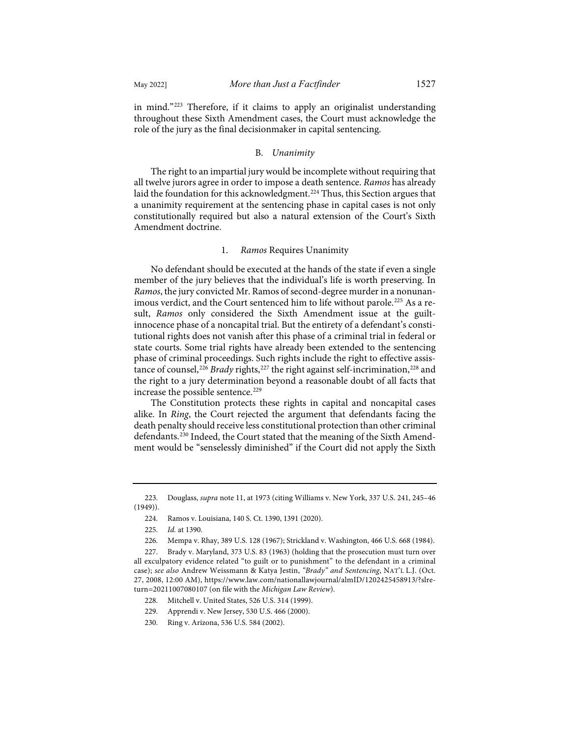in mind."[223](#page-28-0) Therefore, if it claims to apply an originalist understanding throughout these Sixth Amendment cases, the Court must acknowledge the role of the jury as the final decisionmaker in capital sentencing.

## B. *Unanimity*

The right to an impartial jury would be incomplete without requiring that all twelve jurors agree in order to impose a death sentence. *Ramos* has already laid the foundation for this acknowledgment.<sup>[224](#page-28-1)</sup> Thus, this Section argues that a unanimity requirement at the sentencing phase in capital cases is not only constitutionally required but also a natural extension of the Court's Sixth Amendment doctrine.

# 1. *Ramos* Requires Unanimity

No defendant should be executed at the hands of the state if even a single member of the jury believes that the individual's life is worth preserving. In *Ramos*, the jury convicted Mr. Ramos of second-degree murder in a nonunanimous verdict, and the Court sentenced him to life without parole.<sup>225</sup> As a result, *Ramos* only considered the Sixth Amendment issue at the guiltinnocence phase of a noncapital trial. But the entirety of a defendant's constitutional rights does not vanish after this phase of a criminal trial in federal or state courts. Some trial rights have already been extended to the sentencing phase of criminal proceedings. Such rights include the right to effective assis-tance of counsel,<sup>[226](#page-28-3)</sup> *Brady* rights,<sup>[227](#page-28-4)</sup> the right against self-incrimination,<sup>[228](#page-28-5)</sup> and the right to a jury determination beyond a reasonable doubt of all facts that increase the possible sentence.<sup>[229](#page-28-6)</sup>

The Constitution protects these rights in capital and noncapital cases alike. In *Ring*, the Court rejected the argument that defendants facing the death penalty should receive less constitutional protection than other criminal defendants.[230](#page-28-7) Indeed, the Court stated that the meaning of the Sixth Amendment would be "senselessly diminished" if the Court did not apply the Sixth

<span id="page-28-1"></span><span id="page-28-0"></span><sup>223.</sup> Douglass, *supra* not[e 11,](#page-2-12) at 1973 (citing Williams v. New York, 337 U.S. 241, 245–46 (1949)).

<sup>224.</sup> Ramos v. Louisiana, 140 S. Ct. 1390, 1391 (2020).

<sup>225.</sup> *Id.* at 1390.

<sup>226.</sup> Mempa v. Rhay, 389 U.S. 128 (1967); Strickland v. Washington, 466 U.S. 668 (1984).

<span id="page-28-5"></span><span id="page-28-4"></span><span id="page-28-3"></span><span id="page-28-2"></span><sup>227.</sup> Brady v. Maryland, 373 U.S. 83 (1963) (holding that the prosecution must turn over all exculpatory evidence related "to guilt or to punishment" to the defendant in a criminal case); *see also* Andrew Weissmann & Katya Jestin, *"Brady" and Sentencing*, NAT'L L.J. (Oct. 27, 2008, 12:00 AM)[, https://www.law.com/nationallawjournal/almID/1202425458913/?slre](https://www.law.com/nationallawjournal/almID/1202425458913/?slreturn=20211007080107)[turn=20211007080107](https://www.law.com/nationallawjournal/almID/1202425458913/?slreturn=20211007080107) (on file with the *Michigan Law Review*).

<sup>228.</sup> Mitchell v. United States, 526 U.S. 314 (1999).

<sup>229.</sup> Apprendi v. New Jersey, 530 U.S. 466 (2000).

<span id="page-28-7"></span><span id="page-28-6"></span><sup>230.</sup> Ring v. Arizona, 536 U.S. 584 (2002).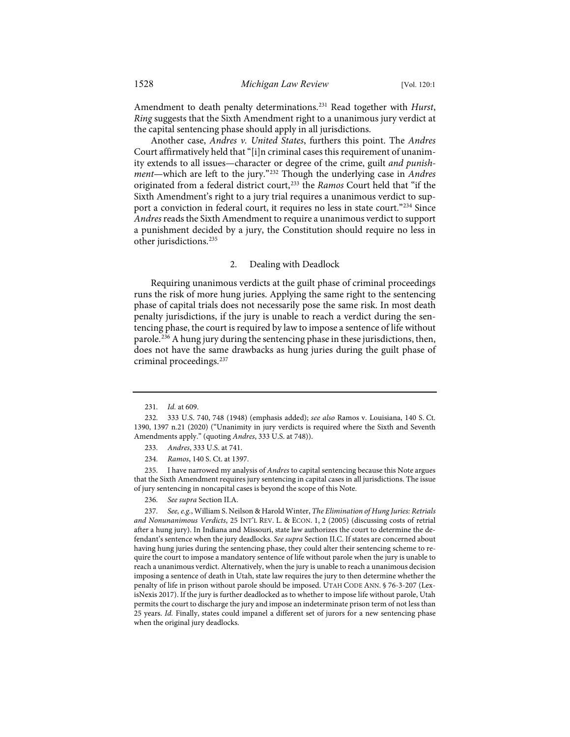Amendment to death penalty determinations[.231](#page-29-0) Read together with *Hurst*, *Ring* suggests that the Sixth Amendment right to a unanimous jury verdict at the capital sentencing phase should apply in all jurisdictions.

Another case, *Andres v. United States*, furthers this point. The *Andres* Court affirmatively held that "[i]n criminal cases this requirement of unanimity extends to all issues—character or degree of the crime, guilt *and punishment*—which are left to the jury."[232](#page-29-1) Though the underlying case in *Andres* originated from a federal district court,[233](#page-29-2) the *Ramos* Court held that "if the Sixth Amendment's right to a jury trial requires a unanimous verdict to sup-port a conviction in federal court, it requires no less in state court."<sup>[234](#page-29-3)</sup> Since *Andres*reads the Sixth Amendment to require a unanimous verdict to support a punishment decided by a jury, the Constitution should require no less in other jurisdictions[.235](#page-29-4)

## 2. Dealing with Deadlock

Requiring unanimous verdicts at the guilt phase of criminal proceedings runs the risk of more hung juries. Applying the same right to the sentencing phase of capital trials does not necessarily pose the same risk. In most death penalty jurisdictions, if the jury is unable to reach a verdict during the sentencing phase, the court is required by law to impose a sentence of life without parole.<sup>[236](#page-29-5)</sup> A hung jury during the sentencing phase in these jurisdictions, then, does not have the same drawbacks as hung juries during the guilt phase of criminal proceedings.[237](#page-29-6)

<span id="page-29-4"></span><span id="page-29-3"></span><span id="page-29-2"></span>235. I have narrowed my analysis of *Andres* to capital sentencing because this Note argues that the Sixth Amendment requires jury sentencing in capital cases in all jurisdictions. The issue of jury sentencing in noncapital cases is beyond the scope of this Note.

236. *See supra* Section II.A.

<span id="page-29-6"></span><span id="page-29-5"></span>237. *See, e.g.*, William S. Neilson & Harold Winter, *The Elimination of Hung Juries: Retrials and Nonunanimous Verdicts*, 25 INT'L REV. L. & ECON. 1, 2 (2005) (discussing costs of retrial after a hung jury). In Indiana and Missouri, state law authorizes the court to determine the defendant's sentence when the jury deadlocks. *See supra* Section II.C. If states are concerned about having hung juries during the sentencing phase, they could alter their sentencing scheme to require the court to impose a mandatory sentence of life without parole when the jury is unable to reach a unanimous verdict. Alternatively, when the jury is unable to reach a unanimous decision imposing a sentence of death in Utah, state law requires the jury to then determine whether the penalty of life in prison without parole should be imposed. UTAH CODE ANN. § 76-3-207 (LexisNexis 2017). If the jury is further deadlocked as to whether to impose life without parole, Utah permits the court to discharge the jury and impose an indeterminate prison term of not less than 25 years. *Id.* Finally, states could impanel a different set of jurors for a new sentencing phase when the original jury deadlocks.

<sup>231.</sup> *Id.* at 609.

<span id="page-29-1"></span><span id="page-29-0"></span><sup>232. 333</sup> U.S. 740, 748 (1948) (emphasis added); *see also* Ramos v. Louisiana, 140 S. Ct. 1390, 1397 n.21 (2020) ("Unanimity in jury verdicts is required where the Sixth and Seventh Amendments apply." (quoting *Andres*, 333 U.S. at 748)).

<sup>233.</sup> *Andres*, 333 U.S. at 741.

<sup>234.</sup> *Ramos*, 140 S. Ct. at 1397.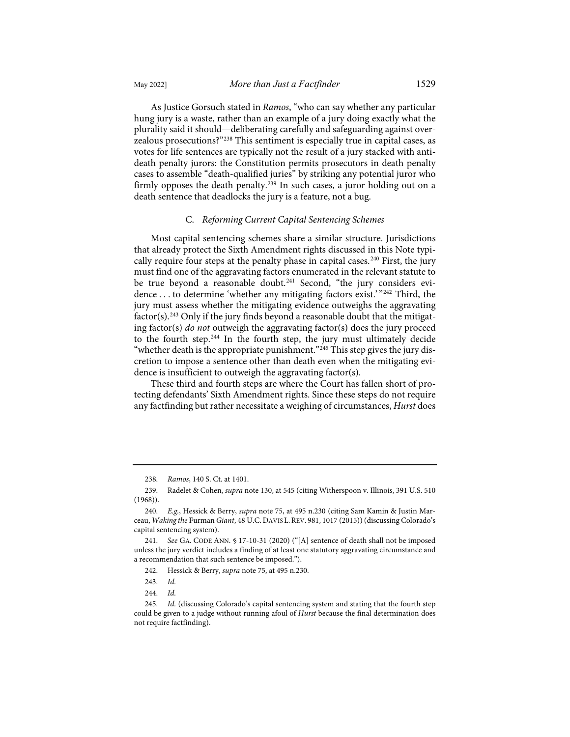As Justice Gorsuch stated in *Ramos*, "who can say whether any particular hung jury is a waste, rather than an example of a jury doing exactly what the plurality said it should—deliberating carefully and safeguarding against overzealous prosecutions?["238](#page-30-0) This sentiment is especially true in capital cases, as

votes for life sentences are typically not the result of a jury stacked with antideath penalty jurors: the Constitution permits prosecutors in death penalty cases to assemble "death-qualified juries" by striking any potential juror who firmly opposes the death penalty.<sup>[239](#page-30-1)</sup> In such cases, a juror holding out on a death sentence that deadlocks the jury is a feature, not a bug.

## C. *Reforming Current Capital Sentencing Schemes*

Most capital sentencing schemes share a similar structure. Jurisdictions that already protect the Sixth Amendment rights discussed in this Note typi-cally require four steps at the penalty phase in capital cases.<sup>[240](#page-30-2)</sup> First, the jury must find one of the aggravating factors enumerated in the relevant statute to be true beyond a reasonable doubt.<sup>[241](#page-30-3)</sup> Second, "the jury considers evidence . . . to determine 'whether any mitigating factors exist.' "[242](#page-30-4) Third, the jury must assess whether the mitigating evidence outweighs the aggravating  $factor(s)$ .<sup>[243](#page-30-5)</sup> Only if the jury finds beyond a reasonable doubt that the mitigating factor(s) *do not* outweigh the aggravating factor(s) does the jury proceed to the fourth step.[244](#page-30-6) In the fourth step, the jury must ultimately decide "whether death is the appropriate punishment."<sup>[245](#page-30-7)</sup> This step gives the jury discretion to impose a sentence other than death even when the mitigating evidence is insufficient to outweigh the aggravating factor(s).

These third and fourth steps are where the Court has fallen short of protecting defendants' Sixth Amendment rights. Since these steps do not require any factfinding but rather necessitate a weighing of circumstances, *Hurst* does

<sup>238.</sup> *Ramos*, 140 S. Ct. at 1401.

<span id="page-30-1"></span><span id="page-30-0"></span><sup>239.</sup> Radelet & Cohen, *supra* not[e 130,](#page-15-10) at 545 (citing Witherspoon v. Illinois, 391 U.S. 510 (1968)).

<span id="page-30-2"></span><sup>240.</sup> *E.g.*, Hessick & Berry, *supra* not[e 75,](#page-10-10) at 495 n.230 (citing Sam Kamin & Justin Marceau, *Waking the* Furman *Giant*, 48 U.C. DAVIS L.REV. 981, 1017 (2015)) (discussing Colorado's capital sentencing system).

<span id="page-30-4"></span><span id="page-30-3"></span><sup>241.</sup> *See* GA. CODE ANN. § 17-10-31 (2020) ("[A] sentence of death shall not be imposed unless the jury verdict includes a finding of at least one statutory aggravating circumstance and a recommendation that such sentence be imposed.").

<sup>242.</sup> Hessick & Berry, *supra* not[e 75,](#page-10-10) at 495 n.230.

<sup>243.</sup> *Id.*

<sup>244.</sup> *Id.*

<span id="page-30-7"></span><span id="page-30-6"></span><span id="page-30-5"></span><sup>245.</sup> *Id.* (discussing Colorado's capital sentencing system and stating that the fourth step could be given to a judge without running afoul of *Hurst* because the final determination does not require factfinding).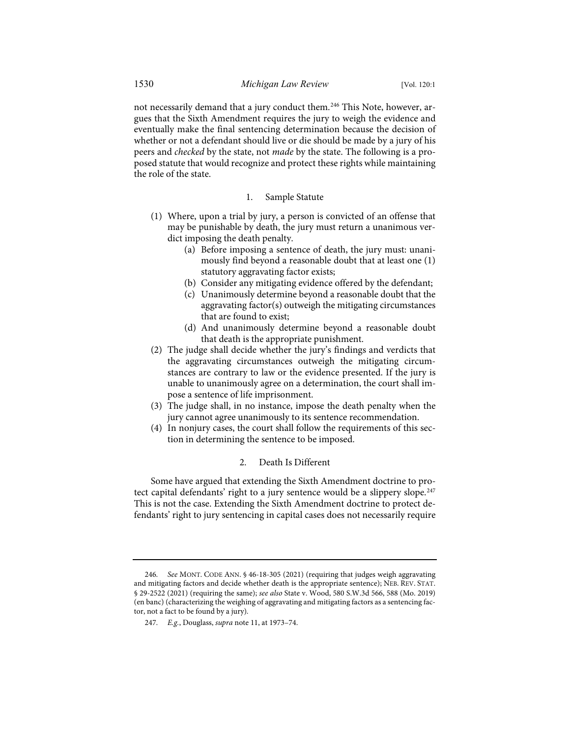not necessarily demand that a jury conduct them.<sup>[246](#page-31-0)</sup> This Note, however, argues that the Sixth Amendment requires the jury to weigh the evidence and eventually make the final sentencing determination because the decision of whether or not a defendant should live or die should be made by a jury of his peers and *checked* by the state, not *made* by the state. The following is a proposed statute that would recognize and protect these rights while maintaining the role of the state.

## 1. Sample Statute

- (1) Where, upon a trial by jury, a person is convicted of an offense that may be punishable by death, the jury must return a unanimous verdict imposing the death penalty.
	- (a) Before imposing a sentence of death, the jury must: unanimously find beyond a reasonable doubt that at least one (1) statutory aggravating factor exists;
	- (b) Consider any mitigating evidence offered by the defendant;
	- (c) Unanimously determine beyond a reasonable doubt that the aggravating factor(s) outweigh the mitigating circumstances that are found to exist;
	- (d) And unanimously determine beyond a reasonable doubt that death is the appropriate punishment.
- (2) The judge shall decide whether the jury's findings and verdicts that the aggravating circumstances outweigh the mitigating circumstances are contrary to law or the evidence presented. If the jury is unable to unanimously agree on a determination, the court shall impose a sentence of life imprisonment.
- (3) The judge shall, in no instance, impose the death penalty when the jury cannot agree unanimously to its sentence recommendation.
- (4) In nonjury cases, the court shall follow the requirements of this section in determining the sentence to be imposed.

# 2. Death Is Different

Some have argued that extending the Sixth Amendment doctrine to pro-tect capital defendants' right to a jury sentence would be a slippery slope.<sup>[247](#page-31-1)</sup> This is not the case. Extending the Sixth Amendment doctrine to protect defendants' right to jury sentencing in capital cases does not necessarily require

<span id="page-31-1"></span><span id="page-31-0"></span><sup>246.</sup> *See* MONT. CODE ANN. § 46-18-305 (2021) (requiring that judges weigh aggravating and mitigating factors and decide whether death is the appropriate sentence); NEB. REV. STAT. § 29-2522 (2021) (requiring the same); *see also* State v. Wood, 580 S.W.3d 566, 588 (Mo. 2019) (en banc) (characterizing the weighing of aggravating and mitigating factors as a sentencing factor, not a fact to be found by a jury).

<sup>247.</sup> *E.g.*, Douglass, *supra* not[e 11,](#page-2-12) at 1973–74.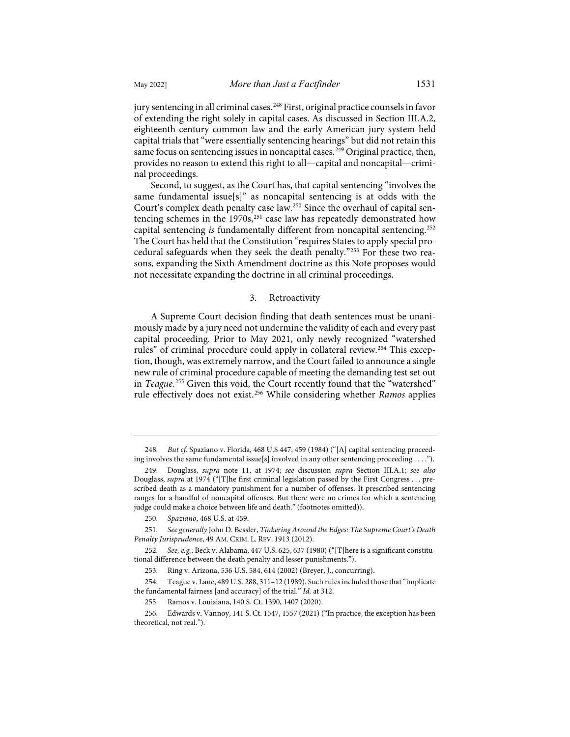jury sentencing in all criminal cases.<sup>[248](#page-32-0)</sup> First, original practice counsels in favor of extending the right solely in capital cases. As discussed in Section III.A.2, eighteenth-century common law and the early American jury system held capital trials that "were essentially sentencing hearings" but did not retain this same focus on sentencing issues in noncapital cases.<sup>[249](#page-32-1)</sup> Original practice, then, provides no reason to extend this right to all—capital and noncapital—criminal proceedings.

Second, to suggest, as the Court has, that capital sentencing "involves the same fundamental issue[s]" as noncapital sentencing is at odds with the Court's complex death penalty case law.[250](#page-32-2) Since the overhaul of capital sentencing schemes in the  $1970s$ ,<sup>[251](#page-32-3)</sup> case law has repeatedly demonstrated how capital sentencing *is* fundamentally different from noncapital sentencing.<sup>[252](#page-32-4)</sup> The Court has held that the Constitution "requires States to apply special procedural safeguards when they seek the death penalty."[253](#page-32-5) For these two reasons, expanding the Sixth Amendment doctrine as this Note proposes would not necessitate expanding the doctrine in all criminal proceedings.

## 3. Retroactivity

A Supreme Court decision finding that death sentences must be unanimously made by a jury need not undermine the validity of each and every past capital proceeding. Prior to May 2021, only newly recognized "watershed rules" of criminal procedure could apply in collateral review.<sup>[254](#page-32-6)</sup> This exception, though, was extremely narrow, and the Court failed to announce a single new rule of criminal procedure capable of meeting the demanding test set out in *Teague*. [255](#page-32-7) Given this void, the Court recently found that the "watershed" rule effectively does not exist.[256](#page-32-8) While considering whether *Ramos* applies

<span id="page-32-0"></span><sup>248.</sup> *But cf.* Spaziano v. Florida, 468 U.S 447, 459 (1984) ("[A] capital sentencing proceeding involves the same fundamental issue[s] involved in any other sentencing proceeding . . . .").

<span id="page-32-1"></span><sup>249.</sup> Douglass, *supra* note [11,](#page-2-12) at 1974; *see* discussion *supra* Section III.A.1; *see also* Douglass, *supra* at 1974 ("[T]he first criminal legislation passed by the First Congress . . . prescribed death as a mandatory punishment for a number of offenses. It prescribed sentencing ranges for a handful of noncapital offenses. But there were no crimes for which a sentencing judge could make a choice between life and death." (footnotes omitted)).

<sup>250.</sup> *Spaziano*, 468 U.S. at 459.

<span id="page-32-2"></span><sup>251.</sup> *See generally* John D. Bessler, *Tinkering Around the Edges: The Supreme Court's Death Penalty Jurisprudence*, 49 AM. CRIM. L. REV. 1913 (2012).

<span id="page-32-5"></span><span id="page-32-4"></span><span id="page-32-3"></span><sup>252.</sup> *See, e.g.*, Beck v. Alabama, 447 U.S. 625, 637 (1980) ("[T]here is a significant constitutional difference between the death penalty and lesser punishments.").

<sup>253.</sup> Ring v. Arizona, 536 U.S. 584, 614 (2002) (Breyer, J., concurring).

<span id="page-32-6"></span><sup>254.</sup> Teague v. Lane, 489 U.S. 288, 311–12 (1989). Such rules included those that "implicate the fundamental fairness [and accuracy] of the trial." *Id.* at 312.

<sup>255.</sup> Ramos v. Louisiana, 140 S. Ct. 1390, 1407 (2020).

<span id="page-32-8"></span><span id="page-32-7"></span><sup>256.</sup> Edwards v. Vannoy, 141 S. Ct. 1547, 1557 (2021) ("In practice, the exception has been theoretical, not real.").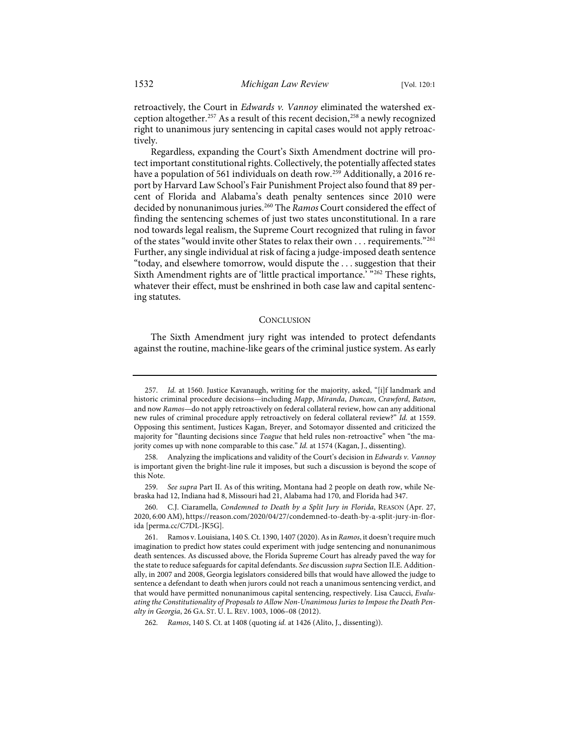retroactively, the Court in *Edwards v. Vannoy* eliminated the watershed ex-ception altogether.<sup>[257](#page-33-0)</sup> As a result of this recent decision,<sup>[258](#page-33-1)</sup> a newly recognized right to unanimous jury sentencing in capital cases would not apply retroactively.

Regardless, expanding the Court's Sixth Amendment doctrine will protect important constitutional rights. Collectively, the potentially affected states have a population of 561 individuals on death row.<sup>[259](#page-33-2)</sup> Additionally, a 2016 report by Harvard Law School's Fair Punishment Project also found that 89 percent of Florida and Alabama's death penalty sentences since 2010 were decided by nonunanimous juries.[260](#page-33-3) The *Ramos* Court considered the effect of finding the sentencing schemes of just two states unconstitutional. In a rare nod towards legal realism, the Supreme Court recognized that ruling in favor of the states "would invite other States to relax their own . . . requirements."[261](#page-33-4) Further, any single individual at risk of facing a judge-imposed death sentence "today, and elsewhere tomorrow, would dispute the . . . suggestion that their Sixth Amendment rights are of 'little practical importance.' "[262](#page-33-5) These rights, whatever their effect, must be enshrined in both case law and capital sentencing statutes.

#### **CONCLUSION**

The Sixth Amendment jury right was intended to protect defendants against the routine, machine-like gears of the criminal justice system. As early

<span id="page-33-2"></span>259. *See supra* Part II. As of this writing, Montana had 2 people on death row, while Nebraska had 12, Indiana had 8, Missouri had 21, Alabama had 170, and Florida had 347.

<span id="page-33-3"></span>260. C.J. Ciaramella, *Condemned to Death by a Split Jury in Florida*, REASON (Apr. 27, 2020, 6:00 AM)[, https://reason.com/2020/04/27/condemned-to-death-by-a-split-jury-in-flor](https://reason.com/2020/04/27/condemned-to-death-by-a-split-jury-in-florida/)[ida](https://reason.com/2020/04/27/condemned-to-death-by-a-split-jury-in-florida/) [\[perma.cc/C7DL-JK5G\]](https://perma.cc/C7DL-JK5G).

<span id="page-33-0"></span><sup>257.</sup> *Id.* at 1560. Justice Kavanaugh, writing for the majority, asked, "[i]f landmark and historic criminal procedure decisions—including *Mapp*, *Miranda*, *Duncan*, *Crawford*, *Batson*, and now *Ramos*—do not apply retroactively on federal collateral review, how can any additional new rules of criminal procedure apply retroactively on federal collateral review?" *Id.* at 1559. Opposing this sentiment, Justices Kagan, Breyer, and Sotomayor dissented and criticized the majority for "flaunting decisions since *Teague* that held rules non-retroactive" when "the majority comes up with none comparable to this case." *Id.* at 1574 (Kagan, J., dissenting).

<span id="page-33-1"></span><sup>258.</sup> Analyzing the implications and validity of the Court's decision in *Edwards v. Vannoy* is important given the bright-line rule it imposes, but such a discussion is beyond the scope of this Note.

<span id="page-33-4"></span><sup>261.</sup> Ramos v. Louisiana, 140 S. Ct. 1390, 1407 (2020).As in *Ramos*, it doesn't require much imagination to predict how states could experiment with judge sentencing and nonunanimous death sentences. As discussed above, the Florida Supreme Court has already paved the way for the state to reduce safeguards for capital defendants. *See* discussion *supra* Section II.E. Additionally, in 2007 and 2008, Georgia legislators considered bills that would have allowed the judge to sentence a defendant to death when jurors could not reach a unanimous sentencing verdict, and that would have permitted nonunanimous capital sentencing, respectively. Lisa Caucci, *Evaluating the Constitutionality of Proposals to Allow Non-Unanimous Juries to Impose the Death Penalty in Georgia*, 26 GA. ST. U. L. REV. 1003, 1006–08 (2012).

<span id="page-33-5"></span><sup>262.</sup> *Ramos*, 140 S. Ct. at 1408 (quoting *id.* at 1426 (Alito, J., dissenting)).